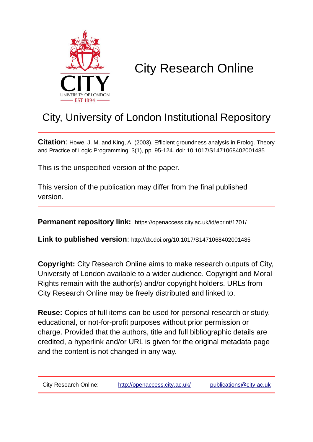

# City Research Online

## City, University of London Institutional Repository

**Citation**: Howe, J. M. and King, A. (2003). Efficient groundness analysis in Prolog. Theory and Practice of Logic Programming, 3(1), pp. 95-124. doi: 10.1017/S1471068402001485

This is the unspecified version of the paper.

This version of the publication may differ from the final published version.

**Permanent repository link:** https://openaccess.city.ac.uk/id/eprint/1701/

**Link to published version**: http://dx.doi.org/10.1017/S1471068402001485

**Copyright:** City Research Online aims to make research outputs of City, University of London available to a wider audience. Copyright and Moral Rights remain with the author(s) and/or copyright holders. URLs from City Research Online may be freely distributed and linked to.

**Reuse:** Copies of full items can be used for personal research or study, educational, or not-for-profit purposes without prior permission or charge. Provided that the authors, title and full bibliographic details are credited, a hyperlink and/or URL is given for the original metadata page and the content is not changed in any way.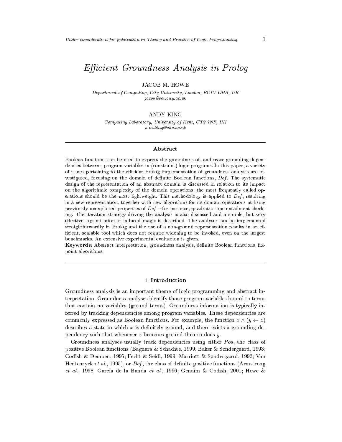### EÆ
ient Groundness Analysis in Prolog

#### JACOB M. HOWE

Department of Computing, City University, London, EC1V OHB, UK ja
obsoi.
ity.a
.uk

#### ANDY KING

Computing Laboratory, University of Kent, CT2 7NF, UK .a.m.kinguka 2002. Bagi kacamatan ing kabupatèn Kabupatèn Kabupatèn Kabupatèn Kabupatèn Kabupatèn Kabupatèn Ka

#### ${\bf Abstract}$

Boolean fun
tions an be used to express the groundness of, and tra
e grounding dependencies between, program variables in (constraint) logic programs. In this paper, a variety of issues pertaining to the efficient Prolog implementation of groundness analysis are investigated, focusing on the domain of definite Boolean functions, Def. The systematic design of the representation of an abstract domain is discussed in relation to its impact on the algorithmic complexity of the domain operations; the most frequently called operations should be the most lightweight. This methodology is applied to  $Def$ , resulting in a new representation, together with new algorithms for its domain operations utilising previously unexploited properties of  $Def$  – for instance, quadratic-time entailment checking. The iteration strategy driving the analysis is also dis
ussed and a simple, but very effective, optimisation of induced magic is described. The analyser can be implemented straightforwardly in Prolog and the use of a non-ground representation results in an ef ficient, scalable tool which does not require widening to be invoked, even on the largest ben
hmarks. An extensive experimental evaluation is given.

Keywords: Abstract interpretation, groundness analysis, definite Boolean functions, fixpoint algorithms.

#### 1 Introduction

Groundness analysis is an important theme of logic programming and abstract interpretation. Groundness analyses identify those program variables bound to terms that ontain no variables (ground terms). Groundness information is typi
ally inferred by tra
king dependen
ies among program variables. These dependen
ies are commonly expressed as Boolean functions. For example, the function  $x \wedge (y \leftarrow z)$ describes a state in which  $x$  is definitely ground, and there exists a grounding dependen
y su
h that whenever z be
omes ground then so does y.

Groundness analyses usually track dependencies using either Pos, the class of positive Boolean fun
tions (Bagnara & S
ha
hte, 1999; Baker & Sndergaard, 1993; Codish & Demoen, 1995; Fecht & Seidl, 1999; Marriott & Søndergaard, 1993; Van Hentenryck *et al.*, 1995), or  $Def$ , the class of definite positive functions (Armstrong et al., 1998; García de la Banda et al., 1996; Genaim & Codish, 2001; Howe &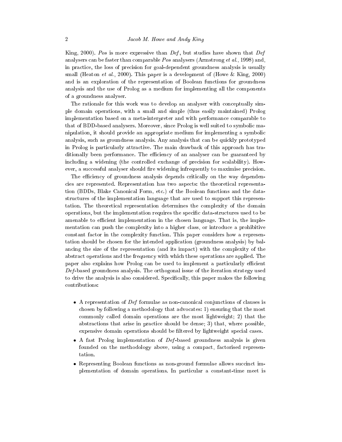King, 2000). Pos is more expressive than  $Def$ , but studies have shown that  $Def$ analysers can be faster than comparable Pos analysers (Armstrong *et al.*, 1998) and, in pra
ti
e, the loss of pre
ision for goal-dependent groundness analysis is usually small (Heaton *et al.*, 2000). This paper is a development of (Howe  $\&$  King, 2000) and is an exploration of the representation of Boolean fun
tions for groundness analysis and the use of Prolog as a medium for implementing all the omponents of a groundness analyser.

The rationale for this work was to develop an analyser with conceptually simple domain operations, with a small and simple (thus easily maintained) Prolog implementation based on a meta-interpreter and with performance comparable to that of BDD-based analysers. Moreover, sin
e Prolog is well suited to symboli manipulation, it should provide an appropriate medium for implementing a symboli analysis, such as groundness analysis. Any analysis that can be quickly prototyped in Prolog is parti
ularly attra
tive. The main drawba
k of this approa
h has traditionally been performance. The efficiency of an analyser can be guaranteed by including a widening (the controlled exchange of precision for scalability). However, a successful analyser should fire widening infrequently to maximise precision.

The efficiency of groundness analysis depends critically on the way dependencies are represented. Representation has two aspects: the theoretical representation (BDDs, Blake Canoni
al Form, et
.) of the Boolean fun
tions and the datastructures of the implementation language that are used to support this representation. The theoreti
al representation determines the omplexity of the domain operations, but the implementation requires the specific data-structures used to be amenable to efficient implementation in the chosen language. That is, the implementation an push the omplexity into a higher lass, or introdu
e a prohibitive constant factor in the complexity function. This paper considers how a representation should be hosen for the intended appli
ation (groundness analysis) by balan
ing the size of the representation (and its impa
t) with the omplexity of the abstra
t operations and the frequen
y with whi
h these operations are applied. The paper also explains how Prolog can be used to implement a particularly efficient Def -based groundness analysis. The orthogonal issue of the iteration strategy used to drive the analysis is also considered. Specifically, this paper makes the following ontributions:

- A representation of Def formulae as nonanoni
al onjun
tions of lauses is chosen by following a methodology that advocates: 1) ensuring that the most ommonly alled domain operations are the most lightweight; 2) that the abstractions that arise in practice should be dense; 3) that, where possible, expensive domain operations should be filtered by lightweight special cases.
- A fast Prolog implementation of Definition of Definition of Definition of Definition of Definition of Definition of Definition of Definition of Definition of Definition of Definition of Definition of Definition of Definit founded on the methodology above, using a compact, factorised representation.
- representing Books and the substitutions are non-ground formulae allows such all the plementation of domain operations. In particular a constant-time meet is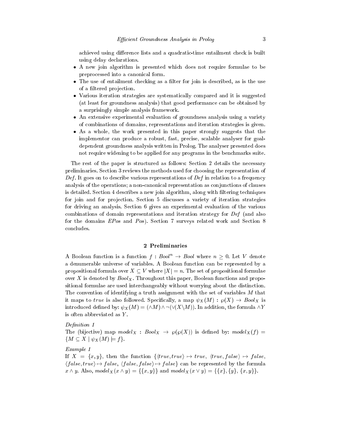achieved using difference lists and a quadratic-time entailment check is built using delay de
larations.

- A new join algorithm is presented whi
h does not require formulae to be preprocessed into a canonical form.
- The use of entailment he
king as a lter for join is des
ribed, as is the use of a filtered projection.
- Various iteration strategies are systemati
ally ompared and it is suggested (at least for groundness analysis) that good performan
e an be obtained by a surprisingly simple analysis framework.
- An extensive extensive experimental experimental experimental evaluation of groundness analysis using a variety  $\mathcal{A}$ of ombinations of domains, representations and iteration strategies is given.
- As a whole, the work presented in this paper strongly suggests that the implementor can produce a robust, fast, precise, scalable analyser for goaldependent groundness analysis written in Prolog. The analyser presented does not require widening to be applied for any programs in the ben
hmarks suite.

The rest of the paper is structured as follows: Section 2 details the necessary preliminaries. Se
tion 3 reviews the methods used for hoosing the representation of  $Def.$  It goes on to describe various representations of  $Def$  in relation to a frequency analysis of the operations; a nonanoni
al representation as onjun
tions of lauses is detailed. Se
tion 4 des
ribes a new join algorithm, along with ltering te
hniques for join and for projection. Section 5 discusses a variety of iteration strategies for driving an analysis. Se
tion 6 gives an experimental evaluation of the various ombinations of domain representations and iteration strategy for Def (and also for the domains  $EPos$  and  $Pos$ ). Section 7 surveys related work and Section 8 concludes.

#### 2 Preliminaries

A Boolean function is a function  $f : Bool^n \rightarrow Bool$  where  $n \geq 0$ . Let V denote a denumerable universe of variables. A Boolean fun
tion an be represented by a propositional formula over  $X \subseteq V$  where  $|X| = n$ . The set of propositional formulae over X is denoted by  $Bool_X$ . Throughout this paper, Boolean functions and propositional formulae are used inter
hangeably without worrying about the distin
tion. The onvention of identifying a truth assignment with the set of variables M that it maps to *true* is also followed. Specifically, a map  $\psi_X(M) : \wp(X) \to \text{Bool}_X$  is introduced defined by:  $\psi_X(M) = (\wedge M) \wedge \neg(\vee(X \backslash M))$ . In addition, the formula  $\wedge Y$ is often abbreviated as Y.

Definition 1

The (bijective) map  $model_X : Bool_X \rightarrow \wp(\wp(X))$  is defined by:  $model_X(f)$  =  ${M \subseteq X \mid \psi_X(M) \models f}.$ 

Example 1

If  $X = \{x, y\}$ , then the function  $\{\langle true, true \rangle \rightarrow true, \langle true, false \rangle \rightarrow false,$  $\langle false, true \rangle \rightarrow false, \langle false, false \rangle \rightarrow false$  can be represented by the formula  $x \wedge y$ . Also,  $model_X(x \wedge y) = \{\{x, y\}\}\$ and  $model_X(x \vee y) = \{\{x\}, \{y\}, \{x, y\}\}.$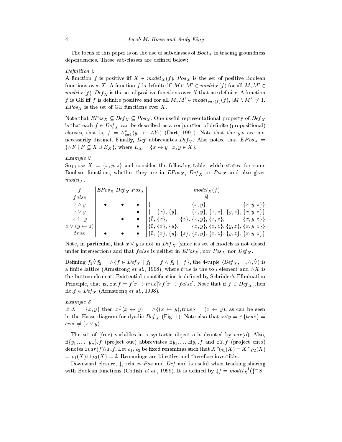The focus of this paper is on the use of sub-classes of  $Bool<sub>X</sub>$  in tracing groundness dependencies. These sub-classes are defined below:

#### Definition 2

A function f is positive iff  $X \in model_X(f)$ . Pos<sub>X</sub> is the set of positive Boolean functions over  $\Lambda$ . A function f is definite in  $M + M \in \mathfrak{mod}e(X(f))$  for all  $M, M \in$ model  $\Lambda$  (f)  $\mu$  is the set of the positive function functions of the set of the definition of a function f is GE in f is definite positive and for all  $M$ ,  $M \in \textit{model}_{var(f)}(f)$ ,  $|M \setminus M| \neq 1$ .  $EPos_X$  is the set of GE functions over X.

 $A = JA = A$  is the EPOs  $A$ is that the distribution of description of definition  $\mathbb{R}^n$  and  $\mathbb{R}^n$  . The distribution of  $\mathbb{R}^n$ clauses, that is,  $f = \wedge_{i=1}^r (y_i \leftarrow \wedge i_i)$  (Dart, 1991). Note that the  $y_i$ s are not the continuous distinction of the control  $\gamma$  and the control  $\gamma$  is a control of the control  $\gamma$  . The control of  $\gamma$  $\{\wedge F \mid F \subseteq X \cup E_X\}$ , where  $E_X = \{x \leftrightarrow y \mid x, y \in X\}.$ 

#### Example 2

Suppose  $X = \{x, y, z\}$  and consider the following table, which states, for some tions, where  $\mathcal{L}$  are in EPOs are in EPos are in EPos and also given by  $\mathcal{L}$  $model_X$ .

|                           | $EPos_X Def_X Pos_X$ |                     | $model_X(f)$                                                                       |
|---------------------------|----------------------|---------------------|------------------------------------------------------------------------------------|
| false                     |                      |                     |                                                                                    |
| $x \wedge y$              |                      | $\bullet$ $\bullet$ | $\bullet$ [{<br>$\{x,y\},\$<br>$\{x,y,z\}\}$                                       |
| $x \vee y$                |                      |                     | • $\{\quad \{x\}, \{y\}, \quad \{x, y\}, \{x, z\}, \{y, z\}, \{x, y, z\}\}\$       |
| $x \leftarrow y$          |                      |                     | • $\{\emptyset, \{x\}, \{z\}, \{x, y\}, \{x, z\}, \{x, y, z\}\}\$                  |
| $x \vee (y \leftarrow z)$ |                      |                     | • $\{\emptyset, \{x\}, \{y\}, \{x, y\}, \{x, z\}, \{y, z\}, \{x, y, z\}\}\$        |
| true                      |                      |                     | • $\{\emptyset, \{x\}, \{y\}, \{z\}, \{x, y\}, \{x, z\}, \{y, z\}, \{x, y, z\}\}\$ |

is the product  $\mathbf r$  is not in Def  $\mathbf r$  ,  $\mathbf r$  is not in Def  $\mathbf r$  ,  $\mathbf r$  and  $\mathbf r$  is not in Table . intersection and the finite is neither intersection and the finite is neither in  $\Lambda$ 

 $D$  chinning  $f_1$  if  $f_2 = \wedge (f_1 \subset D \cup X + f_1 \subset f \wedge f_2 \subset f$  is the 4-tuple  $\wedge D \cup X$ ;  $\subset f$ ,  $\vee$  is  $\vee$ a finite lattice (Armstrong *et al.*, 1998), where *true* is the top element and  $\wedge X$  is the bottom element. Existential quantification is defined by Schröder's Elimination  $P$  is 1 interpret, that is,  $\sup_{\mathbf{a}} f(x) = \sup_{\mathbf{a}} f(x)$  for  $\sup_{\mathbf{a}} f(x) = \sup_{\mathbf{a}} f(x)$  if  $\sup_{\mathbf{a}} f(x)$  $\mathcal{I} = \mathcal{I} \times \mathcal{I}$  (are the fixed extension of  $\mathcal{I}$ 

#### Example 3

If  $X = \{x, y\}$  then  $x\dot{\vee}(x \leftrightarrow y) = \wedge \{(x \leftarrow y), true\} = (x \leftarrow y),$  as can be seen In the Hasse diagram for dyadic  $D \circ f_X$  (Fig. 1). Note also that  $x \circ g = \wedge$  for  $w \circ f =$  $true \neq (x \vee y).$ 

The set of (free) variables in a syntactic object  $o$  is denoted by  $var(o)$ . Also,  $\exists \{y_1,\ldots,y_n\}.\,f$  (project out) abbreviates  $\exists y_1,\ldots.\exists y_n.\,f$  and  $\overline{\exists} Y.\,f$  (project onto) denotes the substitution of  $\mathbb{F}_p$  in  $\mathbb{F}_p$  is the contribution of the substitution of  $\mathbb{F}_p$  ,  $\mathbb{F}_p$  ,  $\mathbb{F}_p$  ,  $\mathbb{F}_p$  ,  $\mathbb{F}_p$  ,  $\mathbb{F}_p$  ,  $\mathbb{F}_p$  ,  $\mathbb{F}_p$  ,  $\mathbb{F}_p$  ,  $\mathbb{F}_p$  ,  $\mathbb{F}_p$  $= \rho_1(X) \cap \rho_2(X) = \emptyset$ . Renamings are bijective and therefore invertible.

Downward closure,  $\downarrow$ , relates Pos and Def and is useful when tracking sharing with Boolean functions (Codish *et al.*, 1999). It is defined by  $\downarrow f = \textit{model}_X^{-1}(\{|1S|)$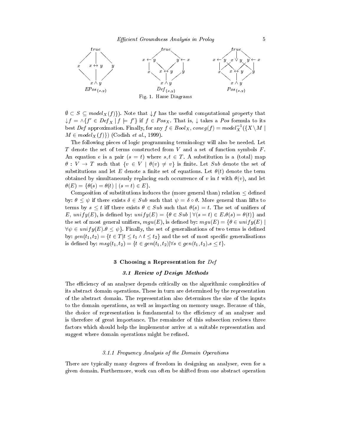

 $\emptyset \subset S \subseteq \text{ model}_X(f)$ . Note that  $\downarrow f$  has the useful computational property that  $\downarrow f = \wedge \{f' \in Def_X | f \models f'\}$  if  $f \in Pos_X$ . That is,  $\downarrow$  takes a Pos formula to its best Def approximation. Finally, for any  $f \in \text{Bool}_X$ , coneg(f) = model  $_X^{-1}(\lbrace X \setminus M \rbrace)$  $M \in \mathit{model}_X(f)$  (Codish *et al.*, 1999).

The following pieces of logic programming terminology will also be needed. Let T denote the set of terms constructed from  $V$  and a set of function symbols  $F$ . An equation e is a pair  $(s = t)$  where  $s, t \in T$ . A substitution is a (total) map  $\theta: V \to T$  such that  $\{v \in V \mid \theta(v) \neq v\}$  is finite. Let Sub denote the set of substitutions and let E denote a finite set of equations. Let  $\theta(t)$  denote the term obtained by simultaneously replacing each occurrence of v in t with  $\theta(v)$ , and let  $\theta(E) = {\theta(s) = \theta(t) | (s = t) \in E}.$ 

Composition of substitutions induces the (more general than) relation  $\leq$  defined by:  $\theta \leq \psi$  if there exists  $\delta \in Sub$  such that  $\psi = \delta \circ \theta$ . More general than lifts to terms by  $s \leq t$  iff there exists  $\theta \in Sub$  such that  $\theta(s) = t$ . The set of unifiers of E, unify(E), is defined by:  $unify(E) = \{ \theta \in Sub \mid \forall (s = t) \in E \ldotp \theta(s) = \theta(t) \}$  and the set of most general unifiers,  $mgu(E)$ , is defined by:  $mgu(E) = \{ \theta \in unify(E) \mid$  $\forall \psi \in unify(E).\theta \leq \psi\}.$  Finally, the set of generalisations of two terms is defined by:  $gen(t_1, t_2) = \{t \in T | t \le t_1 \land t \le t_2\}$  and the set of most specific generalisations is defined by:  $msg(t_1, t_2) = \{t \in gen(t_1, t_2) | \forall s \in gen(t_1, t_2). s \leq t\}.$ 

#### 3 Choosing a Representation for  $Def$

#### 3.1 Review of Design Methods

The efficiency of an analyser depends critically on the algorithmic complexities of its abstract domain operations. These in turn are determined by the representation of the abstract domain. The representation also determines the size of the inputs to the domain operations, as well as impacting on memory usage. Because of this, the choice of representation is fundamental to the efficiency of an analyser and is therefore of great importance. The remainder of this subsection reviews three factors which should help the implement or arrive at a suitable representation and suggest where domain operations might be refined.

#### 3.1.1 Frequency Analysis of the Domain Operations

There are typically many degrees of freedom in designing an analyser, even for a given domain. Furthermore, work can often be shifted from one abstract operation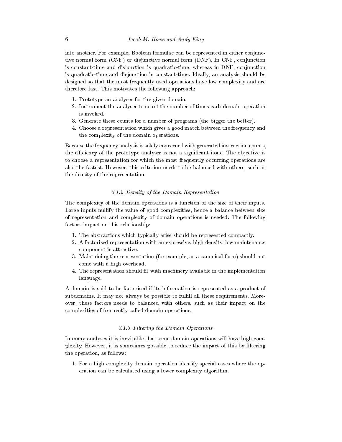into another. For example, Boolean formulae can be represented in either conjunctive normal form (CNF) or disjun
tive normal form (DNF). In CNF, onjun
tion is constant-time and disjunction is quadratic-time, whereas in DNF, conjunction is quadrati
-time and disjun
tion is onstant-time. Ideally, an analysis should be designed so that the most frequently used operations have low omplexity and are therefore fast. This motivates the following approa
h:

- 1. Prototype an analyser for the given domain.
- 2. Instrument the analyser to ount the number of times ea
h domain operation is invoked.
- 3. Generate these ounts for a number of programs (the bigger the better).
- 4. Choose a representation whi
h gives a good mat
h between the frequen
y and the omplexity of the domain operations.

Because the frequency analysis is solely concerned with generated instruction counts, the efficiency of the prototype analyser is not a significant issue. The objective is to choose a representation for which the most frequently occurring operations are also the fastest. However, this riterion needs to be balan
ed with others, su
h as the density of the representation.

#### 3.1.2 Density of the Domain Representation

The complexity of the domain operations is a function of the size of their inputs. Large inputs nullify the value of good complexities, hence a balance between size of representation and omplexity of domain operations is needed. The following factors impact on this relationship:

- 1. The abstra
tions whi
h typi
ally arise should be represented ompa
tly.
- 2. A factorised representation with an expressive, high density, low maintenance component is attractive.
- 3. Maintaining the representation (for example, as a canonical form) should not ome with a high overhead.
- 4. The representation should t with ma
hinery available in the implementation language.

A domain is said to be factorised if its information is represented as a product of subdomains. It may not always be possible to fulfill all these requirements. Moreover, these factors needs to balanced with others, such as their impact on the omplexities of frequently alled domain operations.

### 3.1.3 Filtering the Domain Operations

In many analyses it is inevitable that some domain operations will have high complexity. However, it is sometimes possible to redu
e the impa
t of this by ltering the operation, as follows:

1. For a high omplexity domain operation identify spe
ial ases where the operation can be calculated using a lower complexity algorithm.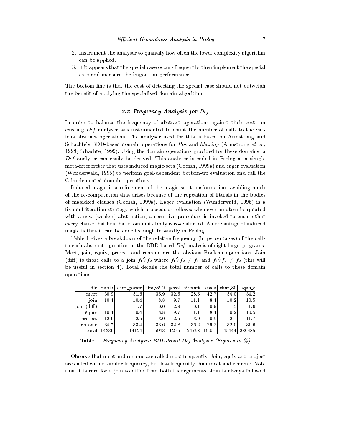- 2. Instrument the analyser to quantify how often the lower omplexity algorithm an be applied.
- 3. If it appears that the special case occurs frequently, then implement the special ase and measure the impa
t on performan
e.

The bottom line is that the cost of detecting the special case should not outweigh the benet of applying the spe
ialised domain algorithm.

#### 3.2 Frequen
y Analysis for Def

In order to balance the frequency of abstract operations against their cost, an existing  $Def$  analyser was instrumented to count the number of calls to the various abstra
t operations. The analyser used for this is based on Armstrong and Schachte's BDD-based domain operations for Pos and Sharing (Armstrong et al., 1998; S
ha
hte, 1999). Using the domain operations provided for these domains, a Def analyser can easily be derived. This analyser is coded in Prolog as a simple meta-interpreter that uses induced magic-sets (Codish, 1999a) and eager evaluation (Wunderwald, 1995) to perform goal-dependent bottom-up evaluation and all the C implemented domain operations.

Induced magic is a refinement of the magic set transformation, avoiding much of the reomputation that arises be
ause of the repetition of literals in the bodies of magi
ked lauses (Codish, 1999a). Eager evaluation (Wunderwald, 1995) is a fixpoint iteration strategy which proceeds as follows: whenever an atom is updated with a new (weaker) abstraction, a recursive procedure is invoked to ensure that every lause that has that atom in its body is re-evaluated. An advantage of indu
ed magic is that it can be coded straightforwardly in Prolog.

Table 1 gives a breakdown of the relative frequency (in percentages) of the calls to each abstract operation in the BDD-based Def analysis of eight large programs. Meet, join, equiv, project and rename are the obvious Boolean operations. Join (diff) is those calls to a join  $f_1$   $f_2$  where  $f_1$   $f_2$   $f_3$  find  $f_1$   $f_2$   $f_3$  follows will be useful in section 4). Total details the total number of calls to these domain operations.

| file          |       | rubik chat_parser sim_v5-2 peval aircraft |                  |      |       |       | $\operatorname{ess}\ln \operatorname{chat}\,20 $ | aqua_c |
|---------------|-------|-------------------------------------------|------------------|------|-------|-------|--------------------------------------------------|--------|
| meet          | 30.9  | 31.6                                      | 35.9             | 32.5 | 28.5  | 42.7  | 34.0                                             | 34.2   |
| ioin          | 10.4  | 10.4                                      | 8.8              | 9.7  | 11.1  | 8.4   | 10.2                                             | 10.5   |
| join $(diff)$ | 1.1   | 1.7                                       | 0.0 <sub>1</sub> | 2.9  | 0.1   | 0.9   | 1.5                                              | 1.6    |
| equiv         | 10.4  | 10.4                                      | 8.8              | 9.7  | 11.1  | 8.4   | 10.2                                             | 10.5   |
| project       | 12.6  | 12.5                                      | 13.0             | 12.5 | 13.0  | 10.5  | 12.1                                             | 11.7   |
| rename        | 34.7  | 33.4                                      | 33.6             | 32.8 | 36.2  | 29.2  | 32.0                                             | 31.6   |
| total         | 14336 | 14124                                     | 5943             | 6275 | 24758 | 19051 | 45444                                            | 280485 |

Table 1. Frequency Analysis: BDD-based Def Analyser (Figures in %)

Observe that meet and rename are called most frequently. Join, equiv and project are called with a similar frequency, but less frequently than meet and rename. Note that it is rare for a join to differ from both its arguments. Join is always followed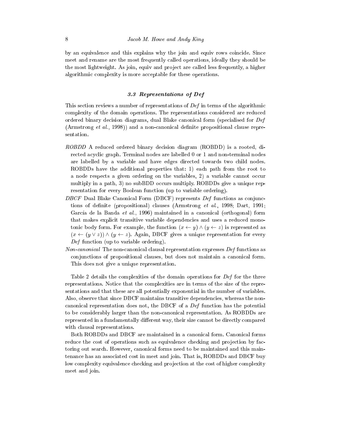by an equivalence and this explains why the join and equiv rows coincide. Since meet and rename are the most frequently alled operations, ideally they should be the most lightweight. As join, equiv and project are called less frequently, a higher algorithmic complexity is more acceptable for these operations.

#### 3.3 Representations of Def

This section reviews a number of representations of Def in terms of the algorithmic omplexity of the domain operations. The representations onsidered are redu
ed ordered binary decision diagrams, dual Blake canonical form (specialised for Def  $(Armstrong et al., 1998))$  and a non-canonical definite propositional clause representation.

- ROBDD A reduced ordered binary decision diagram (ROBDD) is a rooted, dire
ted a
y
li graph. Terminal nodes are labelled 0 or 1 and non-terminal nodes are labelled by a variable and have edges dire
ted towards two hild nodes. ROBDDs have the additional properties that: 1) each path from the root to a node respects a given ordering on the variables, 2) a variable cannot occur multiply in a path, 3) no subBDD occurs multiply. ROBDDs give a unique representation for every Boolean function (up to variable ordering).
- DBCF Dual Blake Canonical Form (DBCF) represents  $Def$  functions as conjunctions of definite (propositional) clauses (Armstrong et al., 1998; Dart, 1991; García de la Banda et al., 1996) maintained in a canonical (orthogonal) form that makes explicit transitive variable dependencies and uses a reduced monotonic body form. For example, the function  $(x \leftarrow y) \wedge (y \leftarrow z)$  is represented as  $(x \leftarrow (y \vee z)) \wedge (y \leftarrow z)$ . Again, DBCF gives a unique representation for every Def function (up to variable ordering).
- Non-canonical The non-canonical clausal representation expresses  $Def$  functions as conjunctions of propositional clauses, but does not maintain a canonical form. This does not give a unique representation.

Table 2 details the complexities of the domain operations for Def for the three representations. Notice that the complexities are in terms of the size of the representations and that these are all potentially exponential in the number of variables. Also, observe that since DBCF maintains transitive dependencies, whereas the noncanonical representation does not, the DBCF of a *Def* function has the potential to be onsiderably larger than the nonanoni
al representation. As ROBDDs are represented in a fundamentally different way, their size cannot be directly compared with lausal representations.

Both ROBDDs and DBCF are maintained in a canonical form. Canonical forms reduce the cost of operations such as equivalence checking and projection by factoring out sear
h. However, anoni
al forms need to be maintained and this maintenan
e has an asso
iated ost in meet and join. That is, ROBDDs and DBCF buy low complexity equivalence checking and projection at the cost of higher complexity meet and join.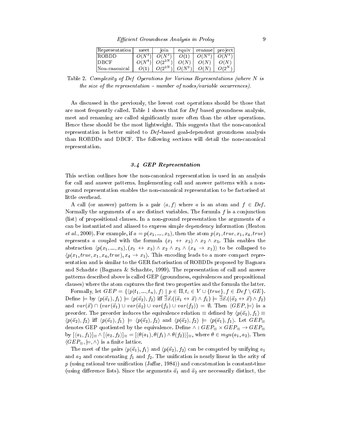Efficient Groundness Analysis in Prolog 9

| Representation | meet                 | ioin        | equiv    |      | renamel project     |
|----------------|----------------------|-------------|----------|------|---------------------|
| <b>ROBDD</b>   | $O(N^2)$             | $O(N^2)$    | O(1)     |      | $O(N^2)$   $O(N^2)$ |
| <b>IDBCF</b>   | $O(N^4)$ $O(2^{2N})$ |             | O(N)     | O(N) | O(N                 |
| Non-canonical  |                      | $O(2^{2N})$ | $O(N^2)$ | O(N) | $O(2^N)$            |

Table 2. Complexity of Def Operations for Various Representations (where N is the size of the representation  $-$  number of nodes/variable occurrences).

As discussed in the previously, the lowest cost operations should be those that are most frequently called. Table 1 shows that for  $Def$  based groundness analysis, meet and renaming are called significantly more often than the other operations. Hence these should be the most lightweight. This suggests that the non-canonical representation is better suited to Def-based goal-dependent groundness analysis than ROBDDs and DBCF. The following sections will detail the non-canonical representation.

### 3.4 GEP Representation

This se
tion outlines how the nonanoni
al representation is used in an analysis for call and answer patterns. Implementing call and answer patterns with a nonground representation enables the nonanoni
al representation to be fa
torised at little overhead.

A call (or answer) pattern is a pair  $\langle a, f \rangle$  where a is an atom and  $f \in Def$ . Normally the arguments of a are distinct variables. The formula  $f$  is a conjunction (list) of propositional lauses. In a non-ground representation the arguments of a can be instantiated and aliased to express simple dependency information (Heaton et al., 2000). For example, if  $a = p(x_1, ..., x_5)$ , then the atom  $p(x_1, true, x_1, x_4, true)$ represents a oupled with the formula (x1 \$ x3) ^ x2 ^ x5. This enables the abstract the tion of the three contracts in the contracts of the time of the top of the top be to be to be to  $\mathcal{P}$  , true;  $\mathcal{P}$  is true;  $\mathcal{P}$  i. This end of a more compact to a more compact to a more compact to a more compact to sentation and is similar to the GER fa
torisation of ROBDDs proposed by Bagnara and S
ha
hte (Bagnara & S
ha
hte, 1999). The representation of all and answer patterns des
ribed above is alled GEP (groundness, equivalen
es and propositional clauses) where the atom captures the first two properties and the formula the latter.

Formally, let  $GEP = \{ \langle p(t_1, ..., t_n), f \rangle \mid p \in \Pi, t_i \in V \cup \{ true \}, f \in Def \setminus GE \}.$ Dene j= by hp(~a1); f1i j= hp(~a2); f2i i 9~x:((~a1 \$ ~x) ^ f1) j= 9~x:((~a2 \$ ~x) ^ f2) and  $var(\vec{x}) \cap (var(\vec{a}_1) \cup var(\vec{a}_2) \cup var(f_1) \cup var(f_2)) = \emptyset$ . Then  $\langle GEP, \models \rangle$  is a preorder. The preorder induces the equivalence relation  $\equiv$  defined by  $\langle p(\vec{a}_1), f_1 \rangle \equiv$  $\langle p(\vec{a}_2), f_2 \rangle$  iff  $\langle p(\vec{a}_1), f_1 \rangle \models \langle p(\vec{a}_2), f_2 \rangle$  and  $\langle p(\vec{a}_2), f_2 \rangle \models \langle p(\vec{a}_1), f_1 \rangle$ . Let  $GEP_{\equiv}$ denotes GEP quotiented by the equivalence is the contract of the property  $\equiv$ by  $[\langle a_1, f_1 \rangle] \equiv \wedge [\langle a_2, f_2 \rangle] \equiv \langle [\theta(a_1), \theta(f_1) \wedge \theta(f_2) \rangle] \equiv$ , where  $\theta \in mgu(a_1, a_2)$ . Then  $\langle GEP_{\equiv}, \models, \wedge \rangle$  is a finite lattice.

The meet of the pairs  $\langle p(\vec{a}_1), f_1 \rangle$  and  $\langle p(\vec{a}_2), f_2 \rangle$  can be computed by unifying  $a_1$ and a2 and f2. The unit is nearly linear in the unit of the unit is nearly linear in the arithmetric of the ari  $p$  (using rational tree unification (Jaffar, 1984)) and concatenation is constant-time listing dieren arguments arguments arguments and and  $\pi$  and  $\pi$  are necessarily distinction in the a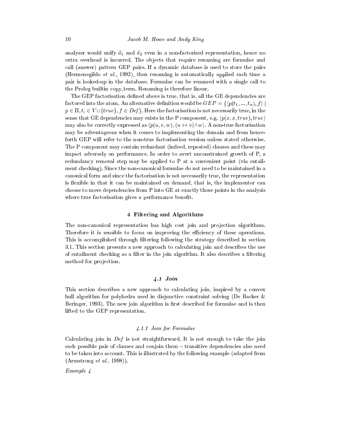analyser would unify all and  $\alpha$  also control and a non-factorised representation, hence the non-factorised extra overhead is in
urred. The ob je
ts that require renaming are formulae and all (answer) pattern GEP pairs. If a dynami database is used to store the pairs (Hermenegildo *et al.*, 1992), then renaming is automatically applied each time a pair is looked-up in the database. Formulae can be renamed with a single call to the Prolog builtin opy term. Renaming is therefore linear.

The GEP factorisation defined above is true, that is, all the GE dependencies are factored into the atom. An alternative definition would be  $GEP = \{ \langle p(t_1, ..., t_n), f \rangle \mid$  $p \in \Pi, t_i \in V \cup \{true\}, f \in Def \}.$  Here the factorisation is not necessarily true, in the sense that GE dependencies may exists in the P component, e.g.  $\langle p(x, x, true), true \rangle$ may also be correctly expressed as  $\langle p(u, v, w), (u \leftrightarrow v) \land w \rangle$ . A non-true factorisation may be adventageous when it comes to implementing the domain and from henceforth GEP will refer to the non-true factorisation version unless stated otherwise. The P omponent may ontain redundant (indeed, repeated) lauses and these may impa
t adversely on performan
e. In order to avert un
onstrained growth of P, a redundancy removal step may be applied to P at a convenient point (via entailment he
king). Sin
e the nonanoni
al formulae do not need to be maintained in a anoni
al form and sin
e the fa
torisation is not ne
essarily true, the representation is flexible in that it can be maintained on demand, that is, the implement or can choose to move dependencies from P into GE at exactly those points in the analysis where true factorisation gives a performance benefit.

#### 4 Filtering and Algorithms

The non-canonical representation has high cost join and projection algorithms. Therefore it is sensible to focus on improving the efficiency of these operations. This is accomplished through filtering following the strategy described in section 3.1. This se
tion presents a new approa
h to al
ulating join and des
ribes the use of entailment checking as a filter in the join algorithm. It also describes a filtering method for projection.

#### 4.1 Join

This section describes a new approach to calculating join, inspired by a convex hull algorithm for polyhedra used in disjunctive constraint solving (De Backer & Beringer, 1993). The new join algorithm is first described for formulae and is then lifted to the GEP representation.

#### 4.1.1 Join for Formulae

Calculating join in Def is not straightforward. It is not enough to take the join each possible pair of clauses and conjoin them – transitive dependencies also need to be taken into account. This is illustrated by the following example (adapted from (Armstrong et al., 1998)).

Example 4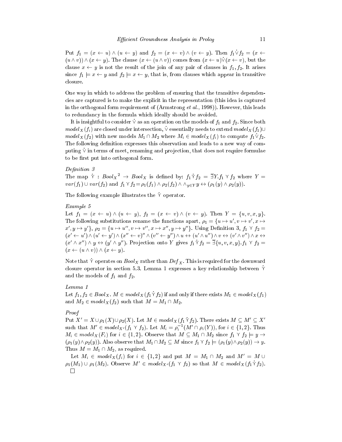$P$  is the function of  $\mathcal{P}_1$  and  $\mathcal{P}_2$  is the function function function for  $\mathcal{P}_2$  is the function for  $\mathcal{P}_3$  is the function function function function function function function function function function  $(u \wedge v) \wedge (x \leftarrow y)$ . The clause  $(x \leftarrow (u \wedge v))$  comes from  $(x \leftarrow u) \vee (x \leftarrow v)$ , but the clause  $x \leftarrow y$  is not the result of the join of any pair of clauses in  $f_1, f_2$ . It arises sin
e f1 j= <sup>x</sup><sup>y</sup> and f2 j= <sup>x</sup> y, that is, from lauses whi
h appear in transitive losure.

One way in whi
h to address the problem of ensuring that the transitive dependen cies are captured is to make the explicit in the representation (this idea is captured in the orthogonal form requirement of  $(Armstrong et al., 1998))$ . However, this leads to redundan
y in the formula whi
h ideally should be avoided.

It is insignment to complete  $\ell$  as an operation on the models of  $f_1$  and  $f_2$ . Since both model  $_X(f_i)$  are closed under intersection,  $\vee$  essentially needs to extend model  $_X(f_1)\cup$ model  $_X(f_2)$  with new models  $M_1 \cap M_2$  where  $M_i \in model_X(f_i)$  to compute  $f_1 \vee f_2$ . The following definition expresses this observation and leads to a new way of computing  $\vee$  in terms of meet, renaming and projection, that does not require formulae to be first put into orthogonal form.

#### Definition 3

The map  $\gamma$  : Bool $\chi^ \rightarrow$  Bool $\chi$  is defined by:  $f_1 \gamma f_2 = \exists Y . f_1 \gamma f_2$  where  $Y =$ (الرازا القارا ) [ القارا القارا القارا على القارا والقارا والمستقبل المستقبل المستقبل المستقبل المستقبل المستق

The following example illustrates the  $\dot{\gamma}$  operator.

#### Example 5

Let f1 <sup>=</sup> (x u) ^ (u y), f2 <sup>=</sup> (x v) ^ (v y). Then <sup>Y</sup> <sup>=</sup> fu; v; x; <sup>y</sup>g. The following substitutions rename the functions apart,  $\rho_1 = \{u \mapsto u, v \mapsto v, x \mapsto v\}$  $x, y \mapsto y$ ;  $\rho_2 = \{u \mapsto u, v \mapsto v, x \mapsto x, y \mapsto y\}$ . Using Definition 3,  $y_1 \mapsto y_2 =$  $(x \leftarrow u) \wedge (u \leftarrow y) \wedge (x \leftarrow v) \wedge (v \leftarrow y) \wedge u \leftrightarrow (u \wedge u) \wedge v \leftrightarrow (v \wedge v) \wedge x \leftrightarrow$  $(x \wedge x) \wedge y \leftrightarrow (y \wedge y)$ . Projection onto Y gives  $f_1 \vee f_2 = \exists \{u, v, x, y\}$ . If  $f_2 = \exists$  $(x \leftarrow (u \wedge v)) \wedge (x \leftarrow y).$ 

Note that  $\tau$  operates on Bool $\chi$  rather than Def  $\chi$ . This is required for the downward closure operator in section 5.3. Lemma 1 expresses a key relationship between  $\gamma$ and the models of flat  $f_1$  and flat  $f_2$  .

Let  $f_1, f_2 \in D$  bool  $\chi$  . M  $\subset m$  back  $\chi(f_1 \mid f_2)$  if and only if there exists  $M_1 \subset m$  back  $\chi(f_1)$ and M2 <sup>2</sup> modelX(f2) su
h that <sup>M</sup> <sup>=</sup> M1 \ M2.

#### Proof

Put  $X' = X \cup \rho_1(X) \cup \rho_2(X)$ . Let  $M \in \mathit{model}_X(f_1 \dot{\gamma} f_2)$ . There exists  $M \subseteq M' \subseteq X'$ such that  $M \in \text{moae}(X/(J_1 Y J_2))$ . Let  $M_i = \rho_i^{-1}(M \cap \rho_i(Y))$ , for  $i \in \{1, 2\}$ . Thus  $M_i \in \mathit{model}_X(F_i)$  for  $i \in \{1,2\}$ . Observe that  $M \subseteq M_1 \cap M_2$  since  $f_1 \vee f_2 \models y \rightarrow$ (1(y)^2(y)). Also observe that M1 \M2 <sup>M</sup> sin
e f1 gf2 j= (1(y)^2(y)) ! y. Thus M  $\mathbb{R}^n$  as a required . Thus  $\mathbb{R}^n$  as required . Thus  $\mathbb{R}^n$ 

Let  $M_i \in \mathit{model}_X(f_i)$  for  $i \in \{1,2\}$  and put  $M = M_1 \cap M_2$  and  $M' = M \cup$  $p_1(M_1) \cup p_1(M_2)$ . Observe  $M \in \mathcal{M}(M_1 \setminus T_2)$  so that  $M \in \mathcal{M}(T_1 \setminus T_2)$ .  $\Box$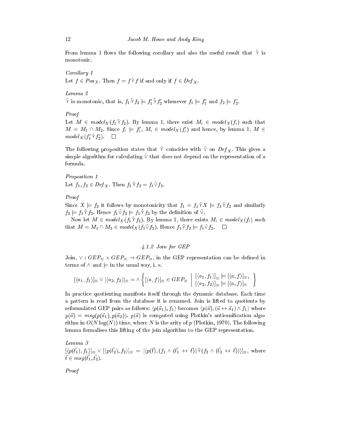From lemma 1 flows the following corollary and also the useful result that  $\dot{\gamma}$  is monotonic.

Corollary 1 Let  $f \subset I$  be  $X$ . Then  $f = f + f$  if and only if  $f \subset D$  of  $X$ .

Lemma 2

 $\gamma$  is monotonic, that is,  $f_1 \gamma f_2 \models f_1 \gamma f_2$  whenever  $f_1 \models f_1$  and  $f_2 \models f_2$ .

Proof

Let  $M \in \text{model}_X(f_1 \dot{\vee} f_2)$ . By lemma 1, there exist  $M_i \in \text{model}_X(f_i)$  such that  $M = M_1 \sqcup M_2$ . Since  $j_i \models j_i, M_i \in \text{model}_X(j_i)$  and hence, by lemma 1,  $M \in$ model  $X \left( \frac{1}{1} \right)$   $I_2$ .

The following proposition states that  $\tau$  coincides with  $\tau$  on  $D\epsilon f \chi$ . This gives a simple algorithm for calculating  $\dot{\vee}$  that does not depend on the representation of a formula.

Proposition 1  $\Delta$   $\sim$   $\frac{1}{2}$   $\frac{1}{2}$   $\approx$   $\frac{1}{2}$   $\frac{1}{2}$   $\frac{1}{2}$   $\frac{1}{2}$   $\frac{1}{2}$   $\frac{1}{2}$   $\frac{1}{2}$ 

Proof

 $S_1$  if  $\epsilon$  it follows by inonotomicity that  $f_1 = f_1 \cdot x_1 = f_1 \cdot f_2$  and similarly  $\mu_2 = \mu_1 + \mu_2$ . Hence  $\mu_1 \nu_1 \nu_2 = \mu_1 + \mu_2$  by the definition of  $\nu$ .

Now let  $M \in \mathit{model}_X(f_1 \dot{\vee} f_2)$ . By lemma 1, there exists  $M_i \in \mathit{model}_X(f_i)$  such  $\sum_{i=1}^n m_i = m_1 + m_2 \sum_{i=1}^n m_i \omega_i \omega_i \chi_{i+1} \chi_{i+1} \chi_{i+1} \ldots \chi_{i+1} \chi_{i+1} \ldots \chi_{i+1} \chi_{i+1} \ldots \chi_{i+1} \chi_{i+1} \ldots \chi_{i+1} \chi_{i+1} \ldots \chi_{i+1} \chi_{i+1} \ldots \chi_{i+1} \chi_{i+1} \ldots \chi_{i+1} \chi_{i+1} \ldots \chi_{i+1} \chi_{i+1} \ldots \chi_{i+1} \chi_{i+1} \ldots \chi_{i+1}$ 

#### 4.1.2 Join for GEP

Join, \_ : GEP - GEP ! GEP, in the GEP representation an be dened in terms of  $\wedge$  and  $\models$  in the usual way, i. e.

$$
[\langle a_1, f_1 \rangle]_\equiv \vee [\langle a_2, f_2 \rangle]_\equiv = \wedge \left\{ [\langle a, f \rangle]_\equiv \in GEP_\equiv \mid \begin{array}{l} [\langle a_1, f_1 \rangle]_\equiv \models [ \langle a, f \rangle]_\equiv, \\ [\langle a_2, f_2 \rangle]_\equiv \models [ \langle a, f \rangle]_\equiv \end{array} \right\}
$$

In practice quotienting manifests itself through the dynamic database. Each time a pattern is read from the database it is renamed. Join is lifted to quotients by reformulated GEP pairs as follows:  $\langle p(\vec{a}_1), f_1 \rangle$  becomes  $\langle p(\vec{a}), (\vec{a} \leftrightarrow \vec{a}_1) \wedge f_1 \rangle$  where  $p(\vec{a}) = msg(p(\vec{a}_1), p(\vec{a}_2))$ .  $p(\vec{a})$  is computed using Plotkin's anti-unification algorithm in  $O(N \log(N))$  time, where N is the arity of p (Plotkin, 1970). The following lemma formalises this lifting of the join algorithm to the GEP representation.

Lemma 3  $[\langle p(\vec{t}_1), f_1 \rangle]_\equiv \vee [\langle p(\vec{t}_2), f_2 \rangle]_\equiv = [\langle p(\vec{t}), (f_1 \wedge (\vec{t}_1 \leftrightarrow \vec{t})) \rangle \dot{\gamma} (f_2 \wedge (\vec{t}_2 \leftrightarrow \vec{t})) \rangle]_\equiv$ , where  $t \in msg(t_1, t_2).$ 

Proof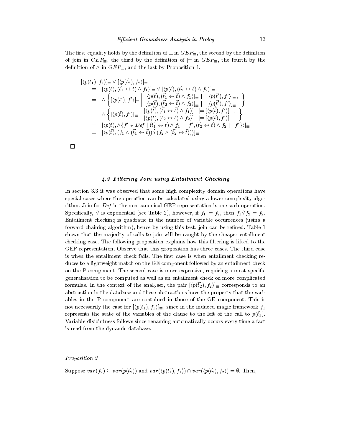The first equality holds by the definition of  $\equiv$  in  $GEP_{\equiv}$ , the second by the definition of join in  $GEP_{\equiv}$ , the third by the definition of  $\models$  in  $GEP_{\equiv}$ , the fourth by the definition of  $\wedge$  in  $GEP_{\equiv}$ , and the last by Proposition 1.

$$
\begin{aligned}\n[\langle p(\vec{t}_1), f_1 \rangle]_x &= \vee [\langle p(\vec{t}_2), f_2 \rangle]_x \\
&= [\langle p(\vec{t}), (\vec{t}_1 \leftrightarrow \vec{t}) \land f_1 \rangle]_x &= \vee [\langle p(\vec{t}), (\vec{t}_2 \leftrightarrow \vec{t}) \land f_2 \rangle]_x \\
&= \wedge \left\{ [\langle p(\vec{t}), f' \rangle]_x \middle| \begin{aligned} \left| \langle p(\vec{t}), (\vec{t}_1 \leftrightarrow \vec{t}) \land f_1 \rangle \right|_x &= \left| \langle p(\vec{t}), f' \rangle \right|_x, \\ \left| \langle p(\vec{t}), (\vec{t}_2 \leftrightarrow \vec{t}) \land f_2 \rangle \right|_x &= \left| \langle p(\vec{t}), f' \rangle \right|_x, \\ \left| \langle p(\vec{t}), f' \rangle \right|_x &= \left| \langle p(\vec{t}), (\vec{t}_1 \leftrightarrow \vec{t}) \land f_1 \rangle \right|_x &= \left| \langle p(\vec{t}), f' \rangle \right|_x, \\
\left| \langle p(\vec{t}), (\vec{t}_2 \leftrightarrow \vec{t}) \land f_2 \rangle \right|_x &= \left| \langle p(\vec{t}), f' \rangle \right|_x, \\
&= \left| \langle p(\vec{t}), \langle f(\vec{t}, \leftrightarrow \vec{t}) \land f_1 \rangle + f' \langle f_2 \leftrightarrow \vec{t} \rangle \land f_2 \rangle + f' \rangle \right\rangle_x \\
&= \left| \langle p(\vec{t}), (f_1 \land (\vec{t}_1 \leftrightarrow \vec{t})) \rangle \langle f_2 \land (\vec{t}_2 \leftrightarrow \vec{t}) \rangle \rangle \right|_x\n\end{aligned}
$$

 $\Box$ 

#### 4.2 Filtering Join using Entailment Checking

In section 3.3 it was observed that some high complexity domain operations have special cases where the operation can be calculated using a lower complexity algorithm. Join for  $Def$  in the non-canonical GEP representation is one such operation. Specifically,  $\dot{\vee}$  is exponential (see Table 2), however, if  $f_1 \models f_2$ , then  $f_1 \dot{\vee} f_2 = f_2$ . Entailment checking is quadratic in the number of variable occurrences (using a forward chaining algorithm), hence by using this test, join can be refined. Table 1 shows that the majority of calls to join will be caught by the cheaper entailment checking case. The following proposition explains how this filtering is lifted to the GEP representation. Observe that this proposition has three cases. The third case is when the entailment check fails. The first case is when entailment checking reduces to a lightweight match on the GE component followed by an entailment check on the P component. The second case is more expensive, requiring a most specific generalisation to be computed as well as an entailment check on more complicated formulae. In the context of the analyser, the pair  $|\langle p(\vec{t}_2), f_2 \rangle|$  corresponds to an abstraction in the database and these abstractions have the property that the variables in the P component are contained in those of the GE component. This is not necessarily the case for  $[\langle p(\vec{t}_1), f_1 \rangle]_0$ , since in the induced magic framework  $f_1$ represents the state of the variables of the clause to the left of the call to  $p(\vec{t}_1)$ . Variable disjointness follows since renaming automatically occurs every time a fact is read from the dynamic database.

#### Proposition 2

Suppose  $var(f_2) \subseteq var(p(\vec{t}_2))$  and  $var(\langle p(\vec{t}_1), f_1 \rangle) \cap var(\langle p(\vec{t}_2), f_2 \rangle) = \emptyset$ . Then,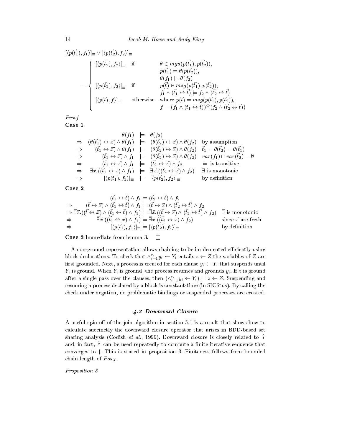$$
[\langle p(\vec{t}_1), f_1 \rangle]_{\equiv} \vee [\langle p(\vec{t}_2), f_2 \rangle]_{\equiv}
$$
  
\n
$$
= \begin{cases}\n[\langle p(\vec{t}_2), f_2 \rangle]_{\equiv} & \text{if } \theta \in mgu(p(\vec{t}_1), p(\vec{t}_2)), \\
[\langle p(\vec{t}_2), f_2 \rangle]_{\equiv} & \text{if } \theta(\vec{t}_1) = \theta(p(\vec{t}_2)), \\
[\langle p(\vec{t}_2), f_2 \rangle]_{\equiv} & \text{if } \theta(\vec{t}_1) = \theta(f_2) \\
[\langle p(\vec{t}_2), f_2 \rangle]_{\equiv} & \text{if } \theta(\vec{t}_1) = \theta(f_2) \\
[\langle p(\vec{t}), f \rangle]_{\equiv} & \text{otherwise} & \text{where } p(\vec{t}) = msg(p(\vec{t}_1), p(\vec{t}_2)), \\
[f_1 \wedge (\vec{t}_1 \leftrightarrow \vec{t})] = msg(p(\vec{t}_1), p(\vec{t}_2)), \\
f_2 \wedge (\vec{t}_2 \leftrightarrow \vec{t}) = \theta(f_1 \wedge (\vec{t}_1 \leftrightarrow \vec{t})) \vee (f_2 \wedge (\vec{t}_2 \leftrightarrow \vec{t}))\n\end{cases}
$$

Proof

Case 1

$$
\theta(f_1) \models \theta(f_2) \n\Rightarrow (\theta(\vec{t}_1) \leftrightarrow \vec{x}) \land \theta(f_1) \models (\theta(\vec{t}_2) \leftrightarrow \vec{x}) \land \theta(f_2) \text{ by assumption} \n\Rightarrow (\vec{t}_1 \leftrightarrow \vec{x}) \land \theta(f_1) \models (\theta(\vec{t}_2) \leftrightarrow \vec{x}) \land \theta(f_2) \vec{t}_1 = \theta(\vec{t}_2) = \theta(\vec{t}_1) \n\Rightarrow (\vec{t}_1 \leftrightarrow \vec{x}) \land f_1 \models (\theta(\vec{t}_2) \leftrightarrow \vec{x}) \land \theta(f_2) \quad var(f_1) \cap var(\vec{t}_2) = \emptyset \n\Rightarrow (\vec{t}_1 \leftrightarrow \vec{x}) \land f_1 \models (\vec{t}_2 \leftrightarrow \vec{x}) \land f_2 \models \text{is transitive} \n\Rightarrow \exists \vec{x}.((\vec{t}_1 \leftrightarrow \vec{x}) \land f_1) \models \exists \vec{x}.((\vec{t}_2 \leftrightarrow \vec{x}) \land f_2) \exists \text{is monotonic} \n\Rightarrow [\langle p(\vec{t}_1), f_1 \rangle]_{\equiv} \models [\langle p(\vec{t}_2), f_2 \rangle]_{\equiv} \text{by definition}
$$

Case 2

$$
(\vec{t}_1 \leftrightarrow \vec{t}) \land f_1 \models (\vec{t}_2 \leftrightarrow \vec{t}) \land f_2
$$
\n
$$
\Rightarrow (\vec{t} \leftrightarrow \vec{x}) \land (\vec{t}_1 \leftrightarrow \vec{t}) \land f_1 \models (\vec{t} \leftrightarrow \vec{x}) \land (\vec{t}_2 \leftrightarrow \vec{t}) \land f_2
$$
\n
$$
\Rightarrow \exists \vec{x}.((\vec{t} \leftrightarrow \vec{x}) \land (\vec{t}_1 \leftrightarrow \vec{t}) \land f_1) \models \exists \vec{x}.((\vec{t} \leftrightarrow \vec{x}) \land (\vec{t}_2 \leftrightarrow \vec{t}) \land f_2) \quad \exists \text{ is monotonic}
$$
\n
$$
\Rightarrow \qquad \exists \vec{x}.((\vec{t}_1 \leftrightarrow \vec{x}) \land f_1) \models \exists \vec{x}.((\vec{t}_2 \leftrightarrow \vec{x}) \land f_2) \qquad \text{since } \vec{x} \text{ are fresh}
$$
\n
$$
\Rightarrow \qquad [\langle p(\vec{t}_1), f_1 \rangle]_\equiv \models [\langle p(\vec{t}_2), f_2 \rangle]_\equiv \qquad \qquad \text{by definition}
$$

Case 3 Immediate from lemma 3.  $\Box$ 

A non-ground representation allows chaining to be implemented efficiently using block declarations. To check that  $\wedge_{i=1}^{\infty} y_i \leftarrow r_i$  entails  $z \leftarrow z$  the variables of  $z$  are first grounded. Next, a process is created for each clause  $y_i \leftarrow Y_i$  that suspends until  $Y_i$  is ground. When  $Y_i$  is ground, the process resumes and grounds  $y_i$ . If z is ground after a single pass over the clauses, then  $(\wedge_{i=1} y_i \leftarrow x_i) \models z \leftarrow z$ . Suspending and resuming a process declared by a block is constant-time (in SICStus). By calling the check under negation, no problematic bindings or suspended processes are created.

#### 4.3 Downward Closure

A useful spin-off of the join algorithm in section 5.1 is a result that shows how to calculate succinctly the downward closure operator that arises in BDD-based set sharing analysis (Codish et al., 1999). Downward closure is closely related to  $\dot{\gamma}$ and, in fact,  $\dot{\gamma}$  can be used repeatedly to compute a finite iterative sequence that converges to  $\downarrow$ . This is stated in proposition 3. Finiteness follows from bounded chain length of  $Pos_X$ .

Proposition 3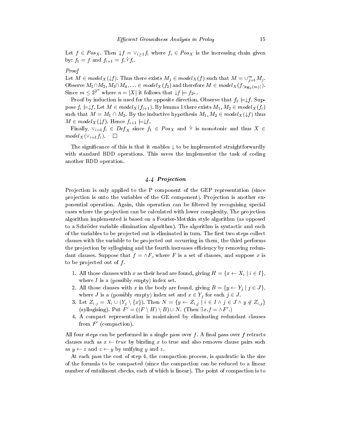Let  $f \in Pos_X$ . Then  $\downarrow f = \vee_{i>1} f_i$  where  $f_i \in Pos_X$  is the increasing chain given  $\begin{array}{cccc} \circ, \circ, \circ, \circ, \circ \end{array}$  ,  $\circ$  .  $\circ$ 

#### Proof

Let  $M \in \text{moae}(X \downarrow J)$ . Thus there exists  $M_j \in \text{moae}(X \setminus J)$  such that  $M = \cup_{j=1}^{\infty} M_j$ . Observe  $M_1\cap M_2$ ,  $M_3\cap M_4$ ,  $\ldots \in \text{model}_X(f_2)$  and therefore  $M \in \text{model}_X(f_{\lceil \log_2(m)\rceil})$ . Since  $m \leq 2^2$  where  $n = |X|$  it follows that  $\downarrow f \models f_{2^n}$ .

Proof by indu
tion is used for the opposite dire
tion. Observe that f1 j=#f . Suppose  $f_i \models \downarrow f$ . Let  $M \in \mathit{model}_X(f_{i+1})$ . By lemma 1 there exists  $M_1, M_2 \in \mathit{model}_X(f_i)$ su
h that M = M1 \ M2. By the indu
tive hypothesis M1; M2 <sup>2</sup> modelX(#f ) thus  $M \in \mathit{model}_X(\downarrow f)$ . Hence  $f_{i+1} \models \downarrow f$ .

Finally,  $v_i=1j_i$   $\in$   $\omega_j$   $\chi$  since  $j_1$   $\in$   $\tau$  or  $\chi$  and generate the thus  $\tau$   $\tau$ model  $_X(\vee_{i=1}f_i)$ .  $\Box$ 

The significance of this is that it enables  $\downarrow$  to be implemented straightforwardly with standard BDD operations. This saves the implement or the task of coding another BDD operation.

#### 4.4 Proje
tion

Projection is only applied to the P component of the GEP representation (since projection is onto the variables of the GE component). Projection is another exponential operation. Again, this operation can be filtered by recognising special cases where the projection can be calculated with lower complexity. The projection algorithm implemented is based on a Fourier-Motzkin style algorithm (as opposed to a Schröder variable elimination algorithm). The algorithm is syntactic and each of the variables to be projected out is eliminated in turn. The first two steps collect clauses with the variable to be projected out occurring in them, the third performs the projection by syllogising and the fourth increases efficiency by removing redundant clauses. Suppose that  $f = \wedge F$ , where F is a set of clauses, and suppose x is to be projected out of  $f$ .

- 1. All those clauses with x as their head are found, giving  $H = \{x \leftarrow X_i \mid i \in I\}$ , where  $I$  is a (possibly empty) index set.
- 2. All those clauses with x in the body are found, giving  $B = \{y \leftarrow Y_j \mid j \in J\}$ , where J is a (possibly empty) index set and  $x \in Y_j$  for each  $j \in J$ .
- 3. Let  $Z_{i,j} = X_i \cup (Y_j \setminus \{x\})$ . Then  $N = \{y \leftarrow Z_{i,j} \mid i \in I \wedge j \in J \wedge y \notin Z_{i,j}\}\$ (syllogising). Put  $F = ((F \setminus H) \setminus D) \cup N$ . (Then  $\exists x, f \equiv \land F$ .)
- 4. A ompa
t representation is maintained by eliminating redundant lauses  $_{\rm I}$   $_{\rm I}$   $_{\rm I}$   $_{\rm COIII}$   $_{\rm I}$   $_{\rm COIII}$   $_{\rm I}$ .

All four steps can be performed in a single pass over  $f$ . A final pass over  $f$  retracts clauses such as  $x \leftarrow true$  by binding x to true and also removes clause pairs such as  $y \leftarrow z$  and  $z \leftarrow y$  by unifying y and z.

At each pass the cost of step 4, the compaction process, is quadratic in the size of the formula to be ompa
ted (sin
e the ompa
tion an be redu
ed to a linear number of entailment checks, each of which is linear). The point of compaction is to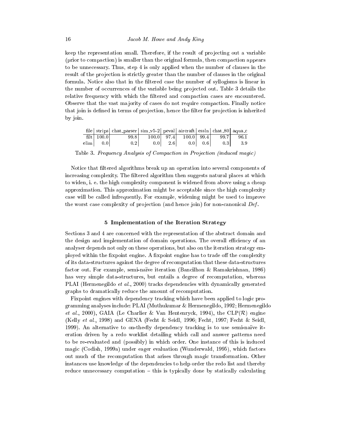keep the representation small. Therefore, if the result of projecting out a variable (prior to ompa
tion) is smaller than the original formula, then ompa
tion appears to be unne
essary. Thus, step 4 is only applied when the number of lauses in the result of the projection is strictly greater than the number of clauses in the original formula. Notice also that in the filtered case the number of syllogisms is linear in the number of occurrences of the variable being projected out. Table 3 details the relative frequency with which the filtered and compaction cases are encountered. Observe that the vast majority of cases do not require compaction. Finally notice that join is defined in terms of projection, hence the filter for projection is inherited by join.

|                     | file strips chat parser $\sin y 5-2$ peval aircraft essin chat $80$ aqua c |  |  |                             |  |
|---------------------|----------------------------------------------------------------------------|--|--|-----------------------------|--|
| $\text{filt}$ 100.0 | 99.8                                                                       |  |  |                             |  |
| $\text{elim}$ 0.0   | 0.2                                                                        |  |  | $[0.0]$ 2.6 0.0 0.6 0.3 3.9 |  |

Table 3. Frequency Analysis of Compaction in Projection (induced magic)

Notice that filtered algorithms break up an operation into several components of increasing complexity. The filtered algorithm then suggests natural places at which to widen, i. e. the high omplexity omponent is widened from above using a heap approximation. This approximation might be acceptable since the high complexity ase will be alled infrequently. For example, widening might be used to improve the worst case complexity of projection (and hence join) for non-canonical  $Def.$ 

#### 5 Implementation of the Iteration Strategy

Sections 3 and 4 are concerned with the representation of the abstract domain and the design and implementation of domain operations. The overall efficiency of an analyser depends not only on these operations, but also on the iteration strategy employed within the fixpoint engine. A fixpoint engine has to trade off the complexity of its data-stru
tures against the degree of re
omputation that these data-stru
tures factor out. For example, semi-naïve iteration (Bancilhon & Ramakrishnan, 1986) has very simple data-structures, but entails a degree of recomputation, whereas PLAI (Hermenegildo *et al.*, 2000) tracks dependencies with dynamically generated graphs to dramati
ally redu
e the amount of re
omputation.

Fixpoint engines with dependency tracking which have been applied to logic programming analyses in
lude: PLAI (Muthukumar & Hermenegildo, 1992; Hermenegildo et al., 2000), GAIA (Le Charlier & Van Hentenryck, 1994), the CLP $(\mathcal{R})$  engine (Kelly et al., 1998) and GENA (Fe
ht & Seidl, 1996; Fe
ht, 1997; Fe
ht & Seidl, 1999). An alternative to on-the-fly dependency tracking is to use semi-naïve iteration driven by a redo worklist detailing whi
h all and answer patterns need to be re-evaluated and (possibly) in whi
h order. One instan
e of this is indu
ed magi (Codish, 1999a) under eager evaluation (Wunderwald, 1995), whi
h fa
tors out mu
h of the re
omputation that arises through magi transformation. Other instan
es use knowledge of the dependen
ies to help order the redo list and thereby reduce unnecessary computation  $-$  this is typically done by statically calculating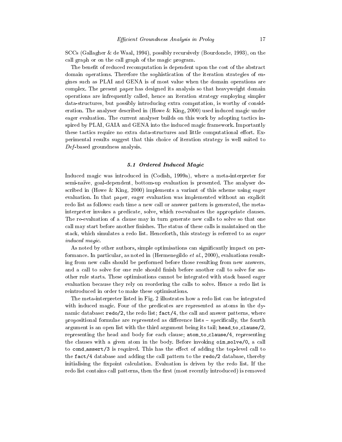SCCs (Gallagher & de Waal, 1994), possibly re
ursively (Bourdon
le, 1993), on the all graph or on the all graph of the magi program.

The benefit of reduced recomputation is dependent upon the cost of the abstract domain operations. Therefore the sophisti
ation of the iteration strategies of engines su
h as PLAI and GENA is of most value when the domain operations are omplex. The present paper has designed its analysis so that heavyweight domain operations are infrequently alled, hen
e an iteration strategy employing simpler data-structures, but possibly introducing extra computation, is worthy of consideration. The analyser described in (Howe  $&$  King, 2000) used induced magic under eager evaluation. The current analyser builds on this work by adopting tactics inspired by PLAI, GAIA and GENA into the indu
ed magi framework. Importantly these tactics require no extra data-structures and little computational effort. Experimental results suggest that this hoi
e of iteration strategy is well suited to Def -based groundness analysis.

#### 5.1 Ordered Indu
ed Magi

Induced magic was introduced in (Codish, 1999a), where a meta-interpreter for semi-naïve, goal-dependent, bottom-up evaluation is presented. The analyser described in (Howe & King, 2000) implements a variant of this scheme using eager evaluation. In that paper, eager evaluation was implemented without an explicit redo list as follows: each time a new call or answer pattern is generated, the metainterpreter invokes a predicate, solve, which re-evaluates the appropriate clauses. The re-evaluation of a clause may in turn generate new calls to solve so that one call may start before another finishes. The status of these calls is maintained on the stack, which simulates a redo list. Henceforth, this strategy is referred to as *eager* induced magic.

As noted by other authors, simple optimisations can significantly impact on performance. In particular, as noted in (Hermenegildo *et al.*, 2000), evaluations resulting from new alls should be performed before those resulting from new answers, and a call to solve for one rule should finish before another call to solve for another rule starts. These optimisations annot be integrated with sta
k based eager evaluation because they rely on reordering the calls to solve. Hence a redo list is reintrodu
ed in order to make these optimisations.

The meta-interpreter listed in Fig. 2 illustrates how a redo list an be integrated with induced magic. Four of the predicates are represented as atoms in the dynamic database: redo/2, the redo list; fact/4, the call and answer patterns, where propositional formulae are represented as difference lists  $-$  specifically, the fourth argument is an open list with the third argument being its tail; head\_to\_clause/2, representing the head and body for each clause; atom\_to\_clause/4, representing the clauses with a given atom in the body. Before invoking  $oim\_solve/0$ , a call to cond\_assert/3 is required. This has the effect of adding the top-level call to the fact/4 database and adding the call pattern to the redo/2 database, thereby initialising the fixpoint calculation. Evaluation is driven by the redo list. If the redo list contains call patterns, then the first (most recently introduced) is removed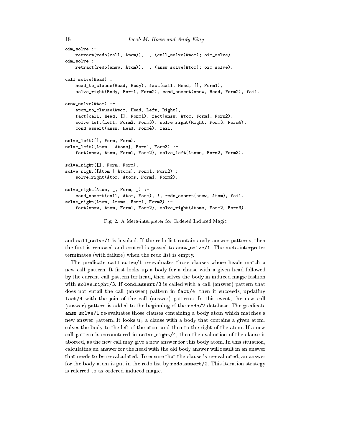```
oim_solve :-
   retract(redo(call, Atom)), !, (call_solve(Atom); oim_solve).
oim_solve :-
   retra
t(redo(answ, Atom)), !, (answ_solve(Atom); oim_solve).

all_solve(Head) :-
   head_to_clause(Head, Body), fact(call, Head, [], Form1),
    solve_right(Body, Form1, Form2), 
ond_assert(answ, Head, Form2), fail.
answ_solve(Atom) :-
   atom_to_
lause(Atom, Head, Left, Right),
   fact(call, Head, [], Form1), fact(answ, Atom, Form1, Form2),
   solve_left(Left, Form2, Form3), solve_right(Right, Form3, Form4),

ond_assert(answ, Head, Form4), fail.
solve_left([], Form, Form).
solve_left([Atom | Atoms], Form1, Form3) :-
   fact (answ, Atom, Form1, Form2), solve_left (Atoms, Form2, Form3).
solve_right([], Form, Form).
solve\_right([Atom \mid Atoms], Form1, Form2) :-
    solve_right(Atom, Atoms, Form1, Form2).
solve_right(Atom, _, Form, _) :-
    cond_assert(call, Atom, Form), !, redo_assert(answ, Atom), fail.
solve_right(Atom, Atoms, Form1, Form3) :-
   fact (answ, Atom, Form1, Form2), solve_right (Atoms, Form2, Form3).
```
Fig. 2. A Meta-interpreter for Ordered Induced Magic

and call\_solve/1 is invoked. If the redo list contains only answer patterns, then the first is removed and control is passed to answ\_solve/1. The meta-interpreter terminates (with failure) when the redo list is empty.

The predicate call\_solve/1 re-evaluates those clauses whose heads match a new call pattern. It first looks up a body for a clause with a given head followed by the urrent all pattern for head, then solves the body in indu
ed magi fashion with solve\_right/3. If cond\_assert/3 is called with a call (answer) pattern that does not entail the call (answer) pattern in fact/4, then it succeeds, updating the fact of the same in the same (and new patterns and the new fines are new things the new things of the new (answer) pattern is added to the beginning of the redo/2 database. The predi
ate answ solve/1 re-evaluates those lauses ontaining <sup>a</sup> body atom whi
h mat
hes <sup>a</sup> new answer pattern. It looks up a lause with a body that ontains a given atom, solves the body to the left of the atom and then to the right of the atom. If a new call pattern is encountered in solve\_right/4, then the evaluation of the clause is aborted, as the new all may give a new answer for this body atom. In this situation, al
ulating an answer for the head with the old body answer will result in an answer that needs to be re-calculated. To ensure that the clause is re-evaluated, an answer for the body atom is put in the redo list by redo assert/2. This iteration strategy is referred to as ordered indu
ed magi
.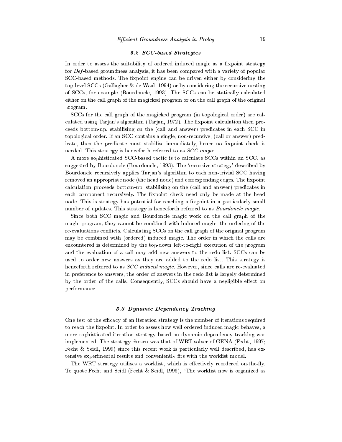#### 5.2 SCC-based Strategies

In order to assess the suitability of ordered induced magic as a fixpoint strategy for Def-based groundness analysis, it has been compared with a variety of popular SCC-based methods. The fixpoint engine can be driven either by considering the top-level  $SCCs$  (Gallagher & de Waal, 1994) or by considering the recursive nesting of SCCs, for example (Bourdoncle, 1993). The SCCs can be statically calculated either on the all graph of the magi
ked program or on the all graph of the original program.

SCCs for the call graph of the magicked program (in topological order) are calculated using Tarjan's algorithm (Tarjan, 1972). The fixpoint calculation then proeeds bottom-up, stabilising on the (
all and answer) predi
ates in ea
h SCC in topologi
al order. If an SCC ontains a single, non-re
ursive, (
all or answer) predicate, then the predicate must stabilise immediately, hence no fixpoint check is needed. This strategy is henceforth referred to as *SCC* magic.

A more sophisticated SCC-based tactic is to calculate SCCs within an SCC, as suggested by Bourdoncle (Bourdoncle, 1993). The 'recursive strategy' described by Bourdoncle recursively applies Tarjan's algorithm to each non-trivial SCC having removed an appropriate node (the head node) and corresponding edges. The fixpoint calculation proceeds bottom-up, stabilising on the (call and answer) predicates in each component recursively. The fixpoint check need only be made at the head node. This is strategy has potential for reaching a fixpoint in a particularly small number of updates. This strategy is henceforth referred to as *Bourdoncle magic*.

Since both SCC magic and Bourdoncle magic work on the call graph of the magic program, they cannot be combined with induced magic; the ordering of the re-evaluations conflicts. Calculating SCCs on the call graph of the original program may be combined with (ordered) induced magic. The order in which the calls are en
ountered is determined by the top-down left-to-right exe
ution of the program and the evaluation of a call may add new answers to the redo list. SCCs can be used to order new answers as they are added to the redo list. This strategy is henceforth referred to as *SCC induced magic*. However, since calls are re-evaluated in preferen
e to answers, the order of answers in the redo list is largely determined by the order of the calls. Consequently, SCCs should have a negligible effect on performan
e.

#### 5.3 Dynami Dependen
y Tra
king

One test of the efficacy of an iteration strategy is the number of iterations required to reach the fixpoint. In order to assess how well ordered induced magic behaves, a more sophisticated iteration strategy based on dynamic dependency tracking was implemented. The strategy hosen was that of WRT solver of GENA (Fe
ht, 1997; Fecht & Seidl, 1999) since this recent work is particularly well described, has extensive experimental results and conveniently fits with the worklist model.

The WRT strategy utilises a worklist, which is effectively reordered on-the-fly. To quote Fe
ht and Seidl (Fe
ht & Seidl, 1996), \The worklist now is organized as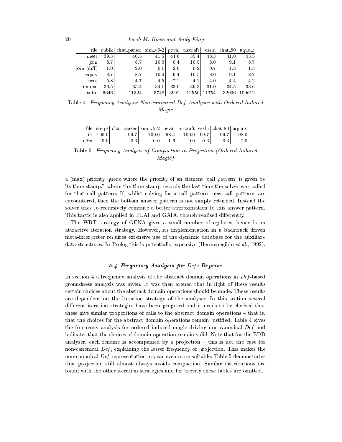| file          | rubikl | chat parser | sim_v5-2  peval  aircraft |      |       | essin  | chat 801 | aqua_c |
|---------------|--------|-------------|---------------------------|------|-------|--------|----------|--------|
| meet          | 39.3   | 40.5        | 41.5                      | 44.6 | 35.4  | 48.3   | 41.0     | 43.5   |
| ioin          | 8.7    | 8.7         | 10.0                      | 6.4I | 10.5  | 8.01   | 9.1      | 8.7    |
| (dif)<br>join | 1.0    | 2.0         | 0.1                       | 2.6  | 0.2   | 0.7    | 1.8      | 1.3    |
| equiv         | 8.7    | 8.7         | 10.0                      | 6.41 | 10.5  | 8.01   | 9.1      | 8.7    |
| proj          | 5.8    | 4.7         | 4.5                       | 7.1  | 4.1   | 4.0    | 4.4      | 4.2    |
| rename        | 36.5   | 35.4        | 34.1                      | 33.0 | 39.3  | 31.0   | 34.5     | 33.6   |
| total         | 6646   | 11324       | 5748                      | 3992 | 12550 | 117541 | 32906    | 109612 |

 $\mathbf{r}$  $\sim$  10  $\mathbf{H}$  $\sim$  1  $\alpha$  and  $\beta$  and  $x + y + z$ 

Table 4. Frequency Analysis: Non-canonical Def Analyser with Ordered Induced Magi

|                     | file strips chat parser sim v5-2 peval aircraft essin chat 80 aqua c |                                      |  |                           |  |
|---------------------|----------------------------------------------------------------------|--------------------------------------|--|---------------------------|--|
| $\text{filt}$ 100.0 |                                                                      | 99.7 100.0 98.4 100.0 99.7 99.7 98.0 |  |                           |  |
| $elim$ 0.0          | 0.3                                                                  |                                      |  | $0.0$ 1.6 0.0 0.3 0.3 2.0 |  |

Table 5. Frequency Analysis of Compaction in Projection (Ordered Induced Magi
)

a  $(max)$  priority queue where the priority of an element  $[call pattern]$  is given by its time stamp," where the time stamp re
ords the last time the solver was alled for that call pattern. If, whilst solving for a call pattern, new call patterns are en
ountered, then the bottom answer pattern is not simply returned. Instead the solver tries to recursively compute a better approximation to this answer pattern. This tactic is also applied in PLAI and GAIA, though realised differently.

The WRT strategy of GENA gives a small number of updates, hen
e is an attractive iteration strategy. However, its implementation in a backtrack driven meta-interpreter requires extensive use of the dynami database for the auxiliary data-stru
tures. In Prolog this is potentially expensive (Hermenegildo et al., 1992).

#### 5.4 Frequen
y Analysis for Def : Reprise

In section 4 a frequency analysis of the abstract domain operations in Def-based groundness analysis was given. It was then argued that in light of these results ertain hoi
es about the abstra
t domain operations should be made. These results are dependent on the iteration strategy of the analyser. In this se
tion several different iteration strategies have been proposed and it needs to be checked that these give similar proportions of calls to the abstract domain operations – that is, that the hoi
es for the abstra
t domain operations remain justied. Table 4 gives the frequency analysis for ordered induced magic driving non-canonical Def and indi
ates that the hoi
es of domain operation remain valid. Note that for the BDD analyser, each rename is accompanied by a projection  $-$  this is not the case for non-canonical Def, explaining the lesser frequency of projection. This makes the nonanoni
al Def representation appear even more suitable. Table 5 demonstrates that pro je
tion still almost always avoids ompa
tion. Similar distributions are found with the other iteration strategies and for brevity these tables are omitted.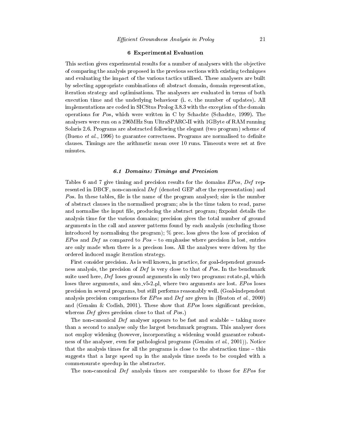#### 6 Experimental Evaluation

This section gives experimental results for a number of analysers with the objective of omparing the analysis proposed in the previous se
tions with existing te
hniques and evaluating the impact of the various tactics utilised. These analysers are built by sele
ting appropriate ombinations of: abstra
t domain, domain representation, iteration strategy and optimisations. The analysers are evaluated in terms of both execution time and the underlying behaviour (i. e. the number of updates). All implementations are oded in SICStus Prolog 3.8.3 with the ex
eption of the domain operations for Pos, which were written in C by Schachte (Schachte, 1999). The analysers were run on a 296MHz Sun UltraSPARC-II with 1GByte of RAM running Solaris 2.6. Programs are abstracted following the elegant (two program) scheme of (Bueno *et al.*, 1996) to guarantee correctness. Programs are normalised to definite clauses. Timings are the arithmetic mean over 10 runs. Timeouts were set at five minutes.

#### 6.1 Domains: Timings and Pre
ision

Tables 6 and 7 give timing and precision results for the domains *EPos*, Def represented in DBCF, non-canonical Def (denoted GEP after the representation) and Pos. In these tables, file is the name of the program analysed; size is the number of abstra
t lauses in the normalised program; abs is the time taken to read, parse and normalise the input file, producing the abstract program; fixpoint details the analysis time for the various domains; pre
ision gives the total number of ground arguments in the all and answer patterns found by ea
h analysis (ex
luding those introduced by normalising the program); % prec. loss gives the loss of precision of EPos and Def as compared to  $Pos -$  to emphasise where precision is lost, entries are only made when there is a pre
ison loss. All the analyses were driven by the ordered indu
ed magi iteration strategy.

First consider precision. As is well known, in practice, for goal-dependent groundness analysis, the precision of  $Def$  is very close to that of Pos. In the benchmark suite used here, Def loses ground arguments in only two programs: rotate.pl, which loses three arguments, and  $\dim_v 5-2$ .pl, where two arguments are lost. *EPos* loses pre
ision in several programs, but still performs reasonably well. (Goal-independent analysis precision comparisons for *EPos* and *Def* are given in (Heaton *et al.*, 2000) and (Genaim & Codish, 2001). These show that  $EPos$  loses significant precision, whereas  $Def$  gives precision close to that of  $Pos.$ )

The non-canonical Def analyser appears to be fast and scalable  $-$  taking more than a se
ond to analyse only the largest ben
hmark program. This analyser does not employ widening (however, in
orporating a widening would guarantee robustness of the analyser, even for pathological programs (Genaim *et al.*, 2001)). Notice that the analysis times for all the programs is close to the abstraction time  $-$  this suggests that a large speed up in the analysis time needs to be oupled with a commensurate speedup in the abstracter.

The non-canonical Def analysis times are comparable to those for EPos for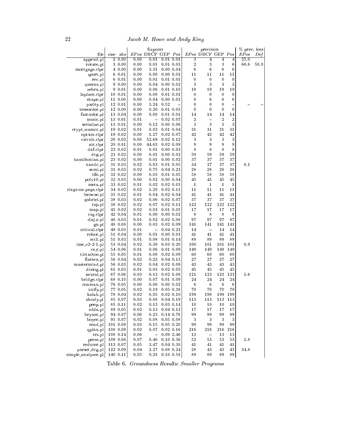22 Ja
ob M. Howe and Andy King

|                    |        |           |           | fixpoint                 |               |               |       | precision             |        |                | $\%$ prec. loss |      |
|--------------------|--------|-----------|-----------|--------------------------|---------------|---------------|-------|-----------------------|--------|----------------|-----------------|------|
| file               | size   | abs       |           | EPos DBCF GEP Pos        |               |               |       | $EPos$ DBCF GEP $Pos$ |        |                | EPos            | Def  |
| append.pl          | $^{2}$ | 0.00      | $_{0.00}$ | 0.01                     |               | $0.01$ $0.01$ | 3     | 4                     | 4      | 4              | 25.0            |      |
| rotate.pl          |        | 3 0.00    | 0.00      | 0.01                     |               | $0.01$ $0.01$ | $\,2$ | 3                     | 3      | 6              | 66.6            | 50.0 |
| mort gage.clpr     |        | $4\,0.00$ | 0.00      | 3.31                     |               | $0.00\ 0.04$  | 6     | 6                     | 6      | 6              |                 |      |
| qsort.pl           |        | 6 0.01    | 0.00      | 0.00                     |               | 0.00 0.01     | 11    | 11                    | 11     | 11             |                 |      |
| rev.pl             |        | 6 0.01    | 0.00      | 0.01                     |               | $0.01$ $0.01$ | 0     | 0                     | 0      | 0              |                 |      |
| queens.pl          |        | 9 0.00    | 0.00      | 0.04                     |               | $0.00\ 0.02$  | 3     | 3                     | 3      | 3              |                 |      |
| zebra.pl           |        | 9 0.01    | 0.00      | 0.06                     |               | $0.01$ $0.10$ | 19    | 19                    | 19     | 19             |                 |      |
| laplace.clpr       |        | 10 0.01   | 0.00      | 0.08                     |               | $0.01$ $0.01$ | 0     | 0                     | 0      | 0              |                 |      |
| shape.pl           |        | 11 0.00   | 0.00      | 0.04                     |               | $0.00\ 0.03$  | 6     | 6                     | 6      | 6              |                 |      |
| parity pl          |        | 12 0.01   | 0.00      | 3.24                     | 0.52          |               | 0     | 0                     | 0      |                |                 |      |
| treeorder.pl       |        | 12 0.00   | 0.00      | 0.20                     |               | $0.01$ $0.03$ | 0     | 0                     | 0      | 0              |                 |      |
| fastcolor.pl       |        | 13 0.04   | 0.00      | 0.00                     | $0.01$ $0.01$ |               | 14    | 14                    | 14     | 14             |                 |      |
| music.pl           |        | 13 0.01   | 0.01      | $\equiv$                 |               | $0.02$ 0.07   | 2     | -                     | 2      | $\overline{2}$ |                 |      |
| serialize.pl       |        | 13 0.01   | 0.00      | 0.12                     |               | $0.00\ 0.06$  | 3     | 3                     | 3      | 3              |                 |      |
| crypt_wamcc.pl     |        | 19 0.02   | 0.01      | 0.03                     |               | $0.01$ $0.04$ | 31    | 31                    | 31     | 31             |                 |      |
| option.clpr        |        | 19 0.02   | 0.00      | 1.27                     |               | $0.02\ 0.07$  | 42    | 42                    | 42     | 42             |                 |      |
| circuit.clpr       |        | 20 0.02   | 0.00      | 52.69                    |               | $0.02\;0.12$  | 3     | 3                     | 3      | 3              |                 |      |
| air.clpr           |        | 20 0.01   | 0.00      | 44.63                    |               | $0.02\ 0.09$  | 9     | 9                     | 9      | 9              |                 |      |
| dnf.clpr           |        | 22 0.02   | 0.01      | 0.01                     |               | $0.00\ 0.03$  | 8     | 8                     | 8      | 8              |                 |      |
| deg.pl             |        | 23 0.02   | 0.00      | 0.01                     |               | $0.00\ 0.02$  | 59    | 59                    | 59     | 59             |                 |      |
| hamiltonian.pl     |        | 23 0.02   | 0.00      | 0.01                     |               | $0.00\ 0.02$  | 37    | 37                    | 37     | 37             |                 |      |
| nandc.pl           |        | 31 0.03   | 0.02      | 0.03                     |               | $0.01$ $0.05$ | 34    | 37                    | 37     | 37             | 8.1             |      |
| semi pl            |        | 31 0.03   | 0.02      | 0.75                     |               | 0.04 0.23     | 28    | 28                    | 28     | 28             |                 |      |
| life pl            |        | 32 0.02   | 0.00      | 0.03                     |               | $0.01$ $0.05$ | 58    | 58                    | 58     | 58             |                 |      |
| poly 10.pl         |        | 32 0.03   | 0.00      | 0.02                     |               | $0.00\ 0.04$  | 45    | 45                    | 45     | 45             |                 |      |
| met a.pl           |        | 33 0.02   | 0.01      | 0.02                     |               | $0.02\ 0.03$  | 1     | 1                     | 1      | 1              |                 |      |
| rings-on-pegs.clpr |        | 34 0.02   | 0.02      | 1.20                     |               | $0.02$ $0.11$ | 11    | 11                    | 11     | 11             |                 |      |
| browse.pl          |        | 35 0.02   | 0.01      | 0.04                     |               | $0.02\ 0.04$  | 41    | 41                    | 41     | 41             |                 |      |
| gabriel.pl         |        | 38 0.03   | 0.02      | 0.06                     |               | $0.02$ $0.07$ | 37    | 37                    | 37     | 37             |                 |      |
| tsp.pl             |        | 38 0.02   | 0.02      | 0.07                     |               | $0.02$ $0.11$ | 122   | 122                   | 122    | 122            |                 |      |
| map.pl             |        | 41 0.02   | 0.02      | 0.03                     |               | $0.01$ $0.05$ | 17    | 17                    | 17     | 17             |                 |      |
| csg.clpr           |        | 42 0.04   | 0.01      | 0.00                     |               | $0.00\ 0.02$  | 8     | 8                     | 8      | 8              |                 |      |
| disj_r.pl          |        | 48 0.03   | 0.01      | 0.02                     |               | $0.02\ 0.08$  | 97    | 97                    | 97     | 97             |                 |      |
| ga.pl              |        | 48 0.08   | 0.00      | 0.03                     |               | $0.02\ 0.09$  | 141   | 141                   | 141    | 141            |                 |      |
| critical.clpr      |        | 49 0.03   | 0.01      |                          |               | $0.04$ $0.21$ | 14    | $\equiv$              | 14     | 14             |                 |      |
| robot.pl           |        | 51 0.04   | 0.00      | 0.01                     |               | $0.00\ 0.03$  | 41    | 41                    | 41     | 41             |                 |      |
| scc1.pl            |        | 51 0.03   | 0.01      | 0.08                     |               | $0.01$ $0.14$ | 89    | 89                    | 89     | 89             |                 |      |
| ime $v2 - 2$ 1 pl  |        | 53 0.04   | 0.02      | 0.30                     |               | $0.03$ $0.20$ | 100   | 101                   | 101    | 101            | 0.9             |      |
| cs r.pl            |        | 54 0.06   | 0.01      | 0.06                     |               | $0.01$ $0.09$ | 149   | 149                   | 149    | 149            |                 |      |
| tictactoe.pl       |        | 55 0.05   | $_{0.01}$ | 0.08                     |               | $0.02\ 0.09$  | 60    | 60                    | 60     | 60             |                 |      |
| flatten.pl         |        | 56 0.04   | 0.02      | 0.22                     |               | $0.04$ 0.13   | 27    | 27                    | 27     | 27             |                 |      |
| mastermind.pl      |        | 56 0.03   | 0.02      | 0.04                     |               | $0.02\ 0.09$  | 43    | 43                    | 43     | 43             |                 |      |
| dialog pl          |        | 61 0.03   | 0.01      | 0.03                     |               | $0.02\ 0.05$  | 45    | 45                    | 45     | 45             |                 |      |
| neural.pl          |        | 67 0.06   | 0.03      | 0.13                     |               | $0.02\ 0.08$  | 121   | 123                   | 123    | 123            | 1.6             |      |
| bridge.clpr        |        | 68 0.10   | 0.00      | 0.07                     |               | $0.01$ $0.09$ | 24    | 24                    | 24     | 24             |                 |      |
| conman.pl          |        | 76 0.05   | 0.00      | 0.00                     |               | $0.00\ 0.02$  | 6     | 6                     | 6      | 6              |                 |      |
| unify.pl           |        | 77 0.05   | 0.02      | 0.19                     |               | $0.05$ 0.38   | 70    | 70                    | 70     | 70             |                 |      |
| kalah.pl           |        | 78 0.04   | 0.02      | 0.05                     |               | $0.02$ $0.10$ | 199   | 199                   | 199    | 199            |                 |      |
| nbody.pl           |        | 85 0.07   | 0.03      | 0.08                     |               | $0.04$ $0.19$ | 113   | 113                   | 113    | 113            |                 |      |
| peep.pl            |        | 85 0.11   | 0.02      | 0.13                     |               | $0.03$ $0.14$ | 10    | $10\,$                | 10     | 10             |                 |      |
| sdda.pl            |        | 89 0.05   | 0.02      | 0.13                     | $0.04$ $0.12$ |               | 17    | 17                    | 17     | 17             |                 |      |
| bryant.pl          |        | 94 0.07   | 0.06      | 0.23                     |               | 0.14 0.76     | 99    | 99                    | 99     | 99             |                 |      |
| boyer.pl           |        | 95 0.07   | 0.02      | 0.08                     |               | $0.05$ 0.08   | 3     | 3                     | 3      | 3              |                 |      |
| read.pl            |        | 101 0.09  | 0.03      | 0.15                     |               | $0.05$ $0.20$ | 99    | 99                    | 99     | 99             |                 |      |
| qplan.pl           |        | 108 0.09  | 0.02      | 0.07                     |               | $0.02\ 0.16$  | 216   | 216                   | 216    | 216            |                 |      |
| trs.pl             |        | 108 0.14  | 0.06      | $\overline{\phantom{0}}$ |               | 0.092.46      | 13    | -                     | 13     | 13             |                 |      |
| press.pl           |        | 109 0.08  | 0.07      | 0.40                     |               | $0.10\;0.36$  | 52    | 53                    | $5\,3$ | 53             | $1.8\,$         |      |
| reducer.pl         |        | 113 0.07  | 0.05      | $3.47\,$                 |               | $0.04$ $0.30$ | 41    | 41                    | 41     | 41             |                 |      |
| parser_dcg.pl      |        | 122 0.09  | 0.04      | $2.27\,$                 |               | $0.08$ 0.24   | 28    | 43                    | 43     | 43             | 34.8            |      |
| simple_analyzer.pl |        | 140 0.11  | 0.05      | 0.28                     |               | $0.10\;0.58$  | 89    | 89                    | 89     | 89             |                 |      |

Table 6. Groundness Results: Smaller Programs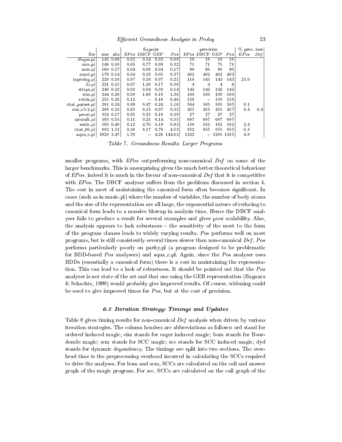| <i>Efficient Groundness Analysis in Prolog</i> |  |  |
|------------------------------------------------|--|--|
|------------------------------------------------|--|--|

|                |           |          |      | fixpoint      |      |             |      | precision     |      | % prec. loss |      |     |
|----------------|-----------|----------|------|---------------|------|-------------|------|---------------|------|--------------|------|-----|
| file           | size      | abs      |      | EPos DBCF GEP |      | Pos         |      | EPos DBCF GEP |      | Pos          | EPos | Def |
| dbqas.pl       |           | 143 0.09 | 0.02 | 0.54          | 0.03 | 0.09        | 18   | 18            | 18   | 18           |      |     |
| ann.pl         |           | 146 0.10 | 0.05 | 0.77          | 0.09 | 0.32        | 71   | 71            | 71   | 71           |      |     |
| asm.pl         |           | 160 0.17 | 0.04 | 0.08          | 0.04 | 0.17        | 90   | 90            | 90   | 90           |      |     |
| nand.pl        |           | 179 0.14 | 0.04 | 0.19          | 0.05 | 0.37        | 402  | 402           | 402  | 402          |      |     |
| Inprolog.pl    |           | 220 0.10 | 0.07 | 0.16          | 0.07 | 0.21        | 110  | 143           | 143  | 143          | 23.0 |     |
| ili pl         |           | 221 0.15 | 0.07 | 1.29          | 0.17 | 0.36        | 4    | 4             | 4    | 4            |      |     |
| strips.pl      |           | 240 0.22 | 0.02 | 0.04          | 0.03 | 0.14        | 142  | 142           | 142  | 142          |      |     |
| sim pl         |           | 244 0.20 | 0.08 | 1.69          | 0.18 | 1.38        | 100  | 100           | 100  | 100          |      |     |
| rubik.pl       |           | 255 0.20 | 0.12 |               | 0.16 | 0.46        | 158  |               | 158  | 158          |      |     |
| chat_parser.pl |           | 281 0.34 | 0.09 | 0.47          | 0.24 | 1.16        | 504  | 505           | 505  | 505          | 0.1  |     |
| $\sin v5-2$ pl |           | 288 0.23 | 0.05 | 0.15          | 0.07 | 0.32        | 455  | 455           | 455  | 457          | 0.4  | 0.4 |
| peval.pl       |           | 332 0.17 | 0.05 | 0.23          | 0.18 | 0.39        | 27   | 27            | 27   | 27           |      |     |
| aircraft.pl    |           | 395 0.55 | 0.11 | 0.21          | 0.14 | 0.55        | 687  | 687           | 687  | 687          |      |     |
| essln.pl       |           | 595 0.48 | 0.12 | 2.70          | 0.19 | 0.93        | 158  | 162           | 162  | 162          | 2.4  |     |
| $chat 80$ pl   |           | 883 1.53 | 0.38 | 8.17          | 0.76 | 4.53        | 852  | 855           | 855  | 855          | 0.3  |     |
| aqua_c.pl      | 3928 3.47 |          | 1.70 |               |      | 4.26 144.62 | 1222 |               | 1285 | 1285         | 4.9  |     |

Table 7. Groundness Results: Larger Programs

smaller programs, with *EPos* outperforming non-canonical *Def* on some of the larger benchmarks. This is unsurprising given the much better theoretical behaviour of EPos, indeed it is much in the favour of non-canonical Def that it is competitive with *EPos*. The DBCF analyser suffers from the problems discussed in section 4. The cost in meet of maintaining the canonical form often becomes significant. In cases (such as in music.pl) where the number of variables, the number of body atoms and the size of the representation are all large, the exponential nature of reducing to canonical form leads to a massive blowup in analysis time. Hence the DBCF analyser fails to produce a result for several examples and gives poor scalability. Also, the analysis appears to lack robustness – the sensitivity of the meet to the form of the program clauses leads to widely varying results. Pos performs well on most programs, but is still consistently several times slower than non-canonical  $Def. Pos$ performs particularly poorly on parity.pl (a program designed to be problematic for BDD-based Pos analysers) and aqua\_c.pl. Again, since the Pos analyser uses BDDs (essentially a canonical form) there is a cost in maintaining the representation. This can lead to a lack of robustness. It should be pointed out that the Pos analyser is not state of the art and that one using the GER representation (Bagnara & Schachte, 1999) would probably give improved results. Of course, widening could be used to give improved times for  $Pos$ , but at the cost of precision.

#### 6.2 Iteration Strategy: Timings and Updates

Table 8 gives timing results for non-canonical Def analysis when driven by various iteration strategies. The column headers are abbreviations as follows: ord stand for ordered induced magic; eim stands for eager induced magic; bom stands for Bourdoncle magic; scm stands for SCC magic; scc stands for SCC induced magic; dyd stands for dynamic dependency. The timings are split into two sections. The overhead time is the preprocessing overhead incurred in calculating the SCCs required to drive the analyses. For bom and scm, SCCs are calculated on the call and answer graph of the magic program. For scc, SCCs are calculated on the call graph of the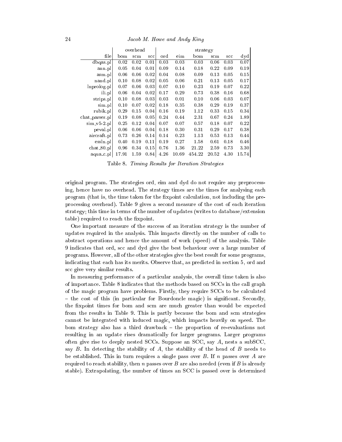24 Ja
ob M. Howe and Andy King

|                             |               | overhead |                      | strategy |       |          |       |                      |       |  |  |
|-----------------------------|---------------|----------|----------------------|----------|-------|----------|-------|----------------------|-------|--|--|
| file                        | $_{\rm{bom}}$ | scm      | $\operatorname{sec}$ | ord      | eim   | bom      | scm   | $\operatorname{sec}$ | dyd   |  |  |
| dbqas.pl                    | 0.02          | 0.02     | 0.01                 | 0.03     | 0.03  | 0.03     | 0.06  | 0.03                 | 0.07  |  |  |
| ann pl                      | 0.05          | 0.04     | 0.01                 | 0.09     | 0.14  | 0.18     | 0.22  | 0.09                 | 0.19  |  |  |
| asm.pl                      | 0.06          | 0.06     | 0.02                 | 0.04     | 0.08  | 0.09     | 0.13  | 0.05                 | 0.15  |  |  |
| nand.pl                     | 0.10          | 0.08     | 0.02                 | 0.05     | 0.06  | 0.21     | 0.13  | 0.05                 | 0.17  |  |  |
| Inprolog.pl                 | 0.07          | 0.06     | 0.03                 | 0.07     | 0.10  | 0.23     | 0.19  | 0.07                 | 0.22  |  |  |
| ili pl                      | 0.06          | 0.04     | 0.02                 | 0.17     | 0.29  | 0.73     | 0.38  | 0.16                 | 0.68  |  |  |
| strips pl                   | 0.10          | 0.08     | 0.03                 | 0.03     | 0.01  | 0.10     | 0.06  | 0.03                 | 0.07  |  |  |
| sim pl                      | 0.10          | 0.07     | 0.02                 | 0.18     | 0.35  | 0.38     | 0.29  | 0.19                 | 0.37  |  |  |
| rubik pl                    | 0.29          | 0.15     | 0.04                 | 0.16     | 0.19  | $1.12\,$ | 0.33  | 0.15                 | 0.34  |  |  |
| chat_parser pl              | 0.19          | 0.08     | 0.05                 | 0.24     | 0.44  | 2.31     | 0.67  | 0.24                 | 1.89  |  |  |
| $\sin y5-2$ pl              | 0.25          | 0.12     | 0.04                 | 0.07     | 0.07  | 0.57     | 0.18  | 0.07                 | 0.22  |  |  |
| peval.pl                    | 0.06          | 0.06     | 0.04                 | 0.18     | 0.30  | 0.31     | 0.29  | 0.17                 | 0.38  |  |  |
| aircraft.pl                 | 0.73          | 0.26     | 0.14                 | 0.14     | 0.23  | 1.13     | 0.53  | 0.13                 | 0.44  |  |  |
| essln.pl                    | 0.40          | 0.19     | 0.11                 | 0.19     | 0.27  | 1.58     | 0.61  | 0.18                 | 0.46  |  |  |
| $\text{chat}\_80\text{ pl}$ | 0.96          | 0.34     | 0.15                 | 0.76     | 1.36  | 21.22    | 2.59  | 0.73                 | 3.30  |  |  |
| aqua c pl                   | 17.91         | 1.59     | 0.84                 | 4.26     | 10.69 | 454.22   | 20.52 | 4.30                 | 15.74 |  |  |

Table 8. Timing Results for Iteration Strategies

original program. The strategies ord, eim and dyd do not require any prepro
essing, hence have no overhead. The strategy times are the times for analysing each  $P$  program (that is, the time taken for the fixpoint calculation, not including the prepro
essing overhead). Table 9 gives a se
ond measure of the ost of ea
h iteration strategy; this time in terms of the number of updates (writes to database/extension table) required to reach the fixpoint.

One important measure of the success of an iteration strategy is the number of updates required in the analysis. This impacts directly on the number of calls to abstra
t operations and hen
e the amount of work (speed) of the analysis. Table 9 indicates that ord, scc and dyd give the best behaviour over a large number of programs. However, all of the other strategies give the best result for some programs, indicating that each has its merits. Observe that, as predicted in section 5, ord and scc give very similar results.

In measuring performan
e of a parti
ular analysis, the overall time taken is also of importan
e. Table 8 indi
ates that the methods based on SCCs in the all graph of the magi program have problems. Firstly, they require SCCs to be al
ulated  $-$  the cost of this (in particular for Bourdoncle magic) is significant. Secondly, the fixpoint times for bom and scm are much greater than would be expected from the results in Table 9. This is partly because the bom and scm strategies annot be integrated with indu
ed magi
, whi
h impa
ts heavily on speed. The bom strategy also has a third drawback – the proportion of re-evaluations not resulting in an update rises dramati
ally for larger programs. Larger programs often give rise to deeply nested SCCs. Suppose an SCC, say A, nests a subSCC, say  $B$ . In detecting the stability of  $A$ , the stability of the head of  $B$  needs to be established. This in turn requires a single pass over  $B$ . If n passes over  $A$  are required to reach stability, then n passes over B are also needed (even if B is already stable). Extrapolating, the number of times an SCC is passed over is determined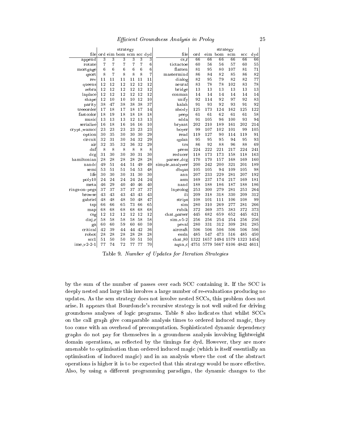Efficient Groundness Analysis in Prolog

|                | strategy |    |                         |    |                |                | strategy        |      |      |         |                     |               |      |
|----------------|----------|----|-------------------------|----|----------------|----------------|-----------------|------|------|---------|---------------------|---------------|------|
| file           |          |    | ord eim bom scm scc dyd |    |                |                | file            | ord  |      | eim bom | scm                 | $_{\rm{sec}}$ | dyd  |
| append         | 3        | 3  | $\overline{3}$          | 3  | $\overline{3}$ | 3              | cs <sub>r</sub> | 66   | 66   | 66      | 66                  | 66            | 66   |
| rotate         | 7        | 7  | 7                       | 7  | 7              | 6              | tictactoe       | 60   | 56   | 56      | 57                  | 60            | 55   |
| mortgage       | 6        | 6  | 6                       | 6  | 6              | 6              | flatten         | 81   | 95   | 80      | 107                 | 81            | 71   |
| qsort          | 8        | 7  | 8                       | 8  | 8              | $\overline{7}$ | mastermind      | 86   | 84   | 82      | 85                  | 86            | 82   |
| rev            | 11       | 11 | 11                      | 11 | 11             | 11             | dialog          | 82   | 95   | 79      | 82                  | 82            | 77   |
| queens         | 12       | 12 | 12                      | 12 | 12             | 12             | neural          | 83   | 78   | 78      | 102                 | 83            | 78   |
| zebra          | 12       | 12 | 12                      | 12 | 12             | 12             | bridge          | 13   | 13   | 13      | 13                  | 13            | 13   |
| laplace        | 12       | 12 | 12                      | 12 | 12             | 12             | conman          | 14   | 14   | 14      | 14                  | 14            | 14   |
| shape          | 12       | 10 | 10                      | 10 | 12             | 10             | unify           | 92   | 114  | 92      | 97                  | 92            | 83   |
| parity         | 38       | 47 | 38                      | 38 | 38             | 37             | kalah           | 91   | 93   | 92      | 93                  | 91            | 92   |
| treeorder      | 17       | 18 | 17                      | 18 | 17             | 14             | nbody           | 125  | 173  | 124     | 162                 | 125           | 122  |
| fastcolor      | 18       | 19 | 18                      | 18 | 18             | 18             | peep            | 61   | 61   | 62      | 61                  | 61            | 58   |
| music          | 13       | 13 | 13                      | 12 | 13             | 13             | sdda            | 91   | 105  | 96      | 100                 | 93            | 94   |
| serialize      | 16       | 18 | 16                      | 16 | 16             | 10             | bryant          | 202  | 210  | 189     | 161                 | 202           | 214  |
| crypt_wamcc    | 23       | 23 | 23                      | 23 | 23             | 23             | boyer           | 99   | 107  | 102     | 101                 | 99            | 105  |
| option         | 30       | 35 | 30                      | 30 | 30             | 29             | read            | 119  | 127  | 90      | 114                 | 119           | 91   |
| circuit        | 32       | 31 | 30                      | 34 | 32             | 29             | qplan           | 95   | 95   | 95      | 94                  | 95            | 93   |
| air            | 32       | 35 | 32                      | 36 | 32             | 29             | trs             | 86   | 92   | 88      | 96                  | 88            | 69   |
| dnf            | 8        | 8  | 8                       | 8  | 8              | 8              | press           | 224  | 222  | 221     | 217                 | 224           | 241  |
| dcg            | 31       | 30 | 30                      | 30 | 31             | 30             | reducer         | 118  | 173  | 173     | 158                 | 118           | 163  |
| hamiltonian    | 28       | 28 | 28                      | 28 | 28             | 28             | parser dcg      | 170  | 170  | 157     | 168                 | 169           | 160  |
| nandc          | 49       | 51 | 44                      | 51 | 49             | 49             | simple_analyzer | 200  | 242  | 200     | 321                 | 201           | 189  |
| semi           | 53       | 51 | 51                      | 54 | 53             | 48             | dbqas           | 105  | 105  | 94      | 109                 | 105           | 98   |
| life           | 30       | 30 | 30                      | 31 | 30             | 30             | ann             | 207  | 233  | 229     | 281                 | 207           | 192  |
| poly10         | 24       | 24 | 24                      | 24 | 24             | 24             | asm             | 169  | 237  | 174     | 217                 | 169           | 181  |
| meta           | 46       | 29 | 40                      | 40 | 46             | 40             | nand            | 188  | 188  | 186     | 187                 | 188           | 186  |
| rings-on-pegs  | 37       | 37 | 37                      | 37 | 37             | 37             | Inprolog        | 253  | 300  | 279     | 281                 | 253           | 264  |
| browse         | 43       | 43 | 43                      | 43 | 43             | 43             | ili             | 209  | 318  | 318     | 330                 | 209           | 312  |
| gabriel        | 48       | 48 | 48                      | 50 | 48             | 47             | strips          | 108  | 101  | 111     | 106                 | 108           | 99   |
| tsp            | 66       | 66 | 65                      | 73 | 66             | 65             | sim             | 280  | 310  | 269     | 277                 | 281           | 266  |
| map            | 68       | 68 | 68                      | 68 | 68             | 68             | rubik           | 372  | 369  | 375     | 383                 | 372           | 373  |
| $\csc$         | 12       | 12 | 12                      | 12 | 12             | 12             | chat_parser     | 445  | 682  | 659     | 652                 | 445           | 621  |
| disj_r         | 58       | 58 | 58                      | 58 | 58             | 58             | $sim v5-2$      | 256  | 256  | 254     | 254                 | 256           | 256  |
| ga             | 60       | 60 | 59                      | 60 | 60             | 59             | peval           | 280  | 331  | 312     | 309                 | 281           | 285  |
| critical       | 42       | 39 | 44                      | 44 | 42             | 36             | aircraft        | 506  | 506  | 506     | 506                 | 506           | 506  |
| robot          | 28       | 28 | 28                      | 28 | 28             | 28             | essln           | 485  | 547  | 473     | 516                 | 485           | 450  |
| $_{\rm{scc1}}$ | 51       | 50 | 50                      | 50 | 51             | 50             | chat 80         | 1322 | 1657 | 1494    | 1579                | 1323          | 1454 |
| ime $v2-2-1$   | 77       | 74 | 72                      | 77 | 77             | 70             | aqua c          | 4751 |      |         | 5779 5667 6106 4842 |               | 4611 |

Table 9. Number of Updates for Iteration Strategies

by the sum of the number of passes over each SCC containing it. If the SCC is deeply nested and large this involves a large number of re-evaluations producing no updates. As the scm strategy does not involve nested SCCs, this problem does not arise. It appears that Bourdoncle's recursive strategy is not well suited for driving groundness analyses of logic programs. Table 8 also indicates that whilst SCCs on the call graph give comparable analysis times to ordered induced magic, they too come with an overhead of precomputation. Sophisticated dynamic dependency graphs do not pay for themselves in a groundness analysis involving lightweight domain operations, as reflected by the timings for dyd. However, they are more amenable to optimisation than ordered induced magic (which is itself essentially an optimisation of induced magic) and in an analysis where the cost of the abstract operations is higher it is to be expected that this strategy would be more effective. Also, by using a different programming paradigm, the dynamic changes to the

 $25\,$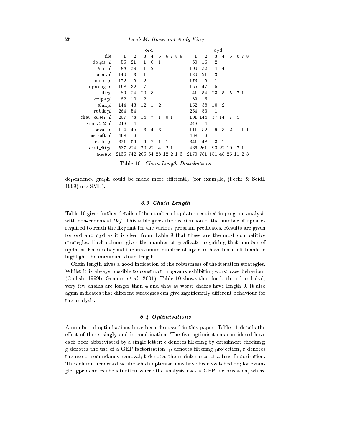|                              |              | ord            |                |                |                |                |   |      |   |         | dyd            |                |                |                |                |     |   |  |
|------------------------------|--------------|----------------|----------------|----------------|----------------|----------------|---|------|---|---------|----------------|----------------|----------------|----------------|----------------|-----|---|--|
| file                         | 1            | $\overline{2}$ | 3              | 4              | 5              |                |   | 6789 |   | 1       | $\overline{2}$ | 3              | 4              | 5              |                | 678 |   |  |
| dbqas.pl                     | 55           | 21             | 1              | $\theta$       | 1              |                |   |      |   | 60      | 16             | $\overline{2}$ |                |                |                |     |   |  |
| ann pl                       | 88           | 39             | 11             | $\overline{2}$ |                |                |   |      |   | 100     | 32             | $\overline{4}$ | 4              |                |                |     |   |  |
| asm.pl                       | 140          | 13             | 1              |                |                |                |   |      |   | 130     | 21             | 3              |                |                |                |     |   |  |
| nand.pl                      | 172          | 5              | $\overline{2}$ |                |                |                |   |      |   | 173     | 5              | 1              |                |                |                |     |   |  |
| Inprolog.pl                  | 168          | 32             | $\overline{7}$ |                |                |                |   |      |   | 155     | 47             | 5              |                |                |                |     |   |  |
| ili pl                       | 89           | 24             | 20             | 3              |                |                |   |      |   | 41      | 54             | 23             | 5              | 5              | 71             |     |   |  |
| strips pl                    | 82           | 10             | $\overline{2}$ |                |                |                |   |      |   | 89      | 5              |                |                |                |                |     |   |  |
| sim pl                       | 144          | 43             | 12             | 1              | $\overline{2}$ |                |   |      |   | 152     | 38             | 10             | $\overline{2}$ |                |                |     |   |  |
| rubik.pl                     | 264          | 54             |                |                |                |                |   |      |   | 264     | 53             | 1              |                |                |                |     |   |  |
| chat parser pl               | 207          | 78             | 14             | 7              | $\mathbf{1}$   | 0 <sub>1</sub> |   |      |   | 101     | 144            |                | 37 14          | 7              | 5              |     |   |  |
| $\sin y5.2 \text{ pl}$       | 248          | 4              |                |                |                |                |   |      |   | 248     | 4              |                |                |                |                |     |   |  |
| peval.pl                     | 114          | 45             | 13             | $\overline{4}$ | 3              | $\overline{1}$ |   |      |   | 111     | 52             | 9              | 3              | $\overline{2}$ | 1              |     |   |  |
| aircraft.pl                  | 468          | 19             |                |                |                |                |   |      |   | 468     | 19             |                |                |                |                |     |   |  |
| $\operatorname{ess}$ ln. pl  | 321          | 59             | 9              | $\mathfrak{D}$ |                | 1              |   |      |   | 341     | 48             | 3              | $\mathbf{1}$   |                |                |     |   |  |
| $\text{chat } 80 \text{ pl}$ | 537 224      |                | 70             | 22             | 4              | 2              |   |      |   | 466 261 |                |                | 93 22          | 10             | 7 <sub>1</sub> |     |   |  |
| aqua c                       | 2135 742 205 |                |                | 64 28          |                | 2              | 2 |      | 3 | 2170    | 781            | 151            | 48             | 26             | -11            | 2   | 3 |  |

Table 10. Chain Length Distributions

dependency graph could be made more efficiently (for example, (Fecht & Seidl, 1999) use SML).

#### 6.3 Chain Length

Table 10 gives further details of the number of updates required in program analysis with non-canonical  $Def.$  This table gives the distribution of the number of updates required to reach the fixpoint for the various program predicates. Results are given for ord and dyd as it is lear from Table 9 that these are the most ompetitive strategies. Each column gives the number of predicates requiring that number of updates. Entries beyond the maximum number of updates have been left blank to highlight the maximum hain length.

Chain length gives a good indication of the robustness of the iteration strategies. Whilst it is always possible to construct programs exhibiting worst case behaviour (Codish, 1999b; Genaim et al., 2001), Table 10 shows that for both ord and dyd, very few hains are longer than 4 and that at worst hains have length 9. It also again indicates that different strategies can give significantly different behaviour for the analysis.

#### 6.4 Optimisations

A number of optimisations have been dis
ussed in this paper. Table 11 details the effect of these, singly and in combination. The five optimisations considered have each been abbreviated by a single letter: e denotes filtering by entailment checking; g denotes the use of a GEP factorisation; p denotes filtering projection; r denotes the use of redundan
y removal; t denotes the maintenan
e of a true fa
torisation. The olumn headers des
ribe whi
h optimisations have been swit
hed on; for example, gpr denotes the situation where the analysis uses a GEP fa
torisation, where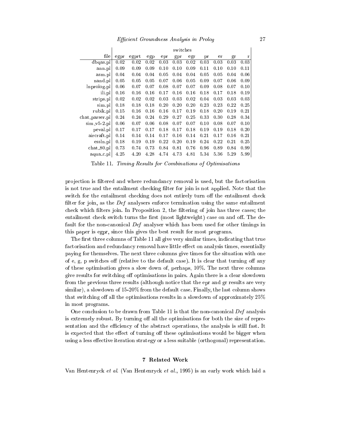#### Efficient Groundness Analysis in Prolog 27

|                                      | switches |       |      |      |      |      |      |      |      |      |
|--------------------------------------|----------|-------|------|------|------|------|------|------|------|------|
| file                                 | egpr     | egprt | egp  | epr  | gpr  | egr  | pr   | er   | gr   | r    |
| dbqas.pl                             | 0.02     | 0.02  | 0.02 | 0.03 | 0.03 | 0.02 | 0.03 | 0.03 | 0.03 | 0.03 |
| ann pl                               | 0.09     | 0.09  | 0.09 | 0.10 | 0.10 | 0.09 | 0.11 | 0.10 | 0.10 | 0.11 |
| asm.pl                               | 0.04     | 0.04  | 0.04 | 0.05 | 0.04 | 0.04 | 0.05 | 0.05 | 0.04 | 0.06 |
| nand.pl                              | 0.05     | 0.05  | 0.05 | 0.07 | 0.06 | 0.05 | 0.09 | 0.07 | 0.06 | 0.09 |
| Inprolog.pl                          | 0.06     | 0.07  | 0.07 | 0.08 | 0.07 | 0.07 | 0.09 | 0.08 | 0.07 | 0.10 |
| ili pl                               | 0.16     | 0.16  | 0.16 | 0.17 | 0.16 | 0.16 | 0.18 | 0.17 | 0.18 | 0.19 |
| strips pl                            | 0.02     | 0.02  | 0.02 | 0.03 | 0.03 | 0.02 | 0.04 | 0.03 | 0.03 | 0.03 |
| sim.pl                               | 0.18     | 0.18  | 0.18 | 0.20 | 0.20 | 0.20 | 0.23 | 0.23 | 0.22 | 0.25 |
| rubik pl                             | 0.15     | 0.16  | 0.16 | 0.16 | 0.17 | 0.19 | 0.18 | 0.20 | 0.19 | 0.21 |
| chat_parser pl                       | 0.24     | 0.24  | 0.24 | 0.29 | 0.27 | 0.25 | 0.33 | 0.30 | 0.28 | 0.34 |
| $\sin y5.2 \text{ pl}$               | 0.06     | 0.07  | 0.06 | 0.08 | 0.07 | 0.07 | 0.10 | 0.08 | 0.07 | 0.10 |
| peval pl                             | 0.17     | 0.17  | 0.17 | 0.18 | 0.17 | 0.18 | 0.19 | 0.19 | 0.18 | 0.20 |
| aircraft.pl                          | 0.14     | 0.14  | 0.14 | 0.17 | 0.16 | 0.14 | 0.21 | 0.17 | 0.16 | 0.21 |
| $\operatorname{ess}\nolimits$ ln. pl | 0.18     | 0.19  | 0.19 | 0.22 | 0.20 | 0.19 | 0.24 | 0.22 | 0.21 | 0.25 |
| $chat_80$ .pl                        | 0.73     | 0.74  | 0.73 | 0.84 | 0.81 | 0.76 | 0.96 | 0.89 | 0.84 | 0.99 |
| aqua c pl                            | 4.25     | 4.20  | 4.28 | 4.74 | 4.73 | 4.81 | 5.34 | 5.36 | 5.29 | 5.99 |

Table 11. Timing Results for Combinations of Optimisations

projection is filtered and where redundancy removal is used, but the factorisation is not true and the entailment checking filter for join is not applied. Note that the switch for the entailment checking does not entirely turn off the entailment check filter for join, as the  $Def$  analysers enforce termination using the same entailment check which filters join. In Proposition 2, the filtering of join has three cases; the entailment check switch turns the first (most lightweight) case on and off. The default for the non-canonical Def analyser which has been used for other timings in this paper is egpr, sin
e this gives the best result for most programs.

The first three columns of Table 11 all give very similar times, indicating that true factorisation and redundancy removal have little effect on analysis times, essentially paying for themselves. The next three olumns give times for the situation with one of e, g, p switches off (relative to the default case). It is clear that turning off any of these optimisation gives a slow down of, perhaps, 10%. The next three olumns give results for switching off optimisations in pairs. Again there is a clear slowdown from the previous three results (although notice that the epr and gr results are very similar), a slowdown of 15-20% from the default case. Finally, the last column shows that switching off all the optimisations results in a slowdown of approximately  $25\%$ in most programs.

One conclusion to be drawn from Table 11 is that the non-canonical Def analysis is extremely robust. By turning off all the optimisations for both the size of representation and the efficiency of the abstract operations, the analysis is still fast. It is expected that the effect of turning off these optimisations would be bigger when using a less effective iteration strategy or a less suitable (orthogonal) representation.

#### 7 Related Work

Van Hentenryck et al. (Van Hentenryck et al., 1995) is an early work which laid a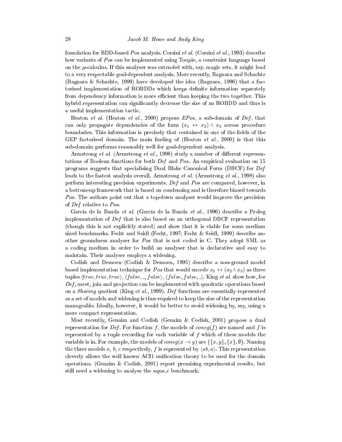foundation for BDD-based Pos analysis. Corsini et al. (Corsini et al., 1993) des
ribe how variants of Pos can be implemented using Toupie, a constraint language based on the  $\mu$ -calculus. If this analyser was extended with, say, magic sets, it might lead to a very respectable goal-dependent analysis. More recently, Bagnara and Schachte (Bagnara & Schachte, 1999) have developed the idea (Bagnara, 1996) that a factorised implementation of ROBDDs which keeps definite information separately from dependency information is more efficient than keeping the two together. This hybrid representation can significantly decrease the size of an ROBDD and thus is a useful implementation tactic.

Heaton et al. (Heaton et al., 2000) propose  $EPos$ , a sub-domain of  $Def$ , that an only propagate dependen
ies of the form (x1 \$ x2) ^ x3 a
ross pro
edure boundaries. This information is precisely that contained in one of the fields of the GEP factorised domain. The main finding of (Heaton *et al.*, 2000) is that this sub-domain performs reasonably well for goal-dependent analysis.

Armstrong et al. (Armstrong et al., 1998) study a number of different representations of Boolean functions for both Def and Pos. An empirical evaluation on 15 programs suggests that specialising Dual Blake Canonical Form (DBCF) for Def leads to the fastest analysis overall. Armstrong et al. (Armstrong et al., 1998) also perform interesting precision experiments. Def and Pos are compared, however, in a bottom-up framework that is based on ondensing and is therefore biased towards Pos. The authors point out that a top-down analyser would improve the precision of *Def* relative to *Pos*.

García de la Banda et al. (García de la Banda et al., 1996) describe a Prolog implementation of Def that is also based on an orthogonal DBCF representation (though this is not expli
itly stated) and show that it is viable for some medium sized ben
hmarks. Fe
ht and Seidl (Fe
ht, 1997; Fe
ht & Seidl, 1999) des
ribe another groundness analyser for Pos that is not oded in C. They adopt SML as a oding medium in order to build an analyser that is de
larative and easy to maintain. Their analyser employs a widening.

Codish and Demoen (Codish & Demoen, 1995) des
ribe a non-ground model based in the p os that would be a continue for P os that would enter the state would be a finally would be a c tuples  $\langle true, true, true \rangle$ ,  $\langle false, \ldots, false \rangle$ ,  $\langle false, false, \ldots \rangle$ . King et al. show how, for Def, meet, join and projection can be implemented with quadratic operations based on a Sharing quotient (King et al., 1999). Def fun
tions are essentially represented as a set of models and widening is thus required to keep the size of the representation manageable. Ideally, however, it would be better to avoid widening by, say, using a more ompa
t representation.

Most re
ently, Genaim and Codish (Genaim & Codish, 2001) propose a dual representation for Def. For function f, the models of  $coneg(f)$  are named and f is represented by a tuple recording for each variable of  $f$  which of these models the variable is in. For example, the models of  $coneg(x \to y)$  are  $\{\{x, y\}, \{x\}, \emptyset\}$ . Naming the three models a, b, c respectively, f is represented by  $\langle ab, a \rangle$ . This representation cleverly allows the well known ACI1 unification theory to be used for the domain operations. (Genaim & Codish, 2001) report promising experimental results, but still need a widening to analyse the aqua\_c benchmark.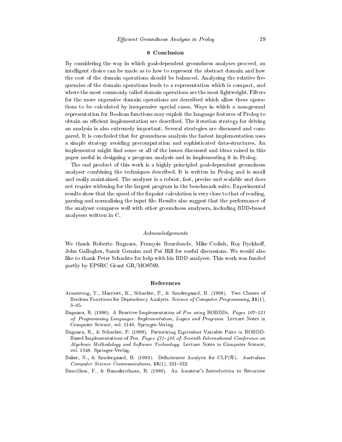#### 8 Con
lusion

By considering the way in which goal-dependent groundness analyses proceed, an intelligent choice can be made as to how to represent the abstract domain and how the ost of the domain operations should be balan
ed. Analysing the relative frequen
ies of the domain operations leads to a representation whi
h is ompa
t, and where the most commonly called domain operations are the most lightweight. Filters for the more expensive domain operations are des
ribed whi
h allow these operations to be calculated by inexpensive special cases. Ways in which a non-ground representation for Boolean fun
tions may exploit the language features of Prolog to obtain an efficient implementation are described. The iteration strategy for driving an analysis is also extremely important. Several strategies are discussed and compared. It is on
luded that for groundness analysis the fastest implementation uses a simple strategy avoiding pre
omputation and sophisti
ated data-stru
tures. An implementor might find some or all of the issues discussed and ideas raised in this paper useful in designing a program analysis and in implementing it in Prolog.

The end produ
t of this work is a highly prin
ipled goal-dependent groundness analyser ombining the te
hniques des
ribed. It is written in Prolog and is small and easily maintained. The analyser is a robust, fast, precise and scalable and does not require widening for the largest program in the ben
hmark suite. Experimental results show that the speed of the fixpoint calculation is very close to that of reading, parsing and normalising the input file. Results also suggest that the performance of the analyser ompares well with other groundness analysers, in
luding BDD-based analysers written in C.

#### Acknowledgements

We thank Roberto Bagnara, François Bourdoncle, Mike Codish, Roy Dyckhoff, John Gallagher, Samir Genaim and Pat Hill for useful dis
ussions. We would also like to thank Peter S
ha
hte for help with his BDD analyser. This work was funded partly by EPSRC Grant GR/MO8769.

#### References

- Armstrong, T., Marriott, K., Schachte, P., & Søndergaard, H. (1998). Two Classes of Boolean Fun
tions for Dependen
y Analysis. S
ien
e of Computer Programming, 31(1),  $3 - 45$ .
- Bagnara, R. (1996). A Reactive Implementation of Pos using ROBDDs. Pages  $107-121$ of: Programming Languages: Implementation, Logics and Programs. Lecture Notes in Computer Science, vol. 1140. Springer-Verlag.
- Bagnara, R., & Schachte, P. (1999). Factorizing Equivalent Variable Pairs in ROBDD-Based Implementations of Pos. Pages 471-485 of: Seventh International Conference on Algebraic Methodology and Software Technology. Lecture Notes in Computer Science, vol. 1548. Springer-Verlag.
- Baker, N., & Søndergaard, H. (1993). Definiteness Analysis for  $CLP(\mathcal{R})$ . Australian Computer Science Communications,  $15(1)$ ,  $321-332$ .

Bancilhon, F., & Ramakrishnan, R. (1986). An Amateur's Introduction to Recursive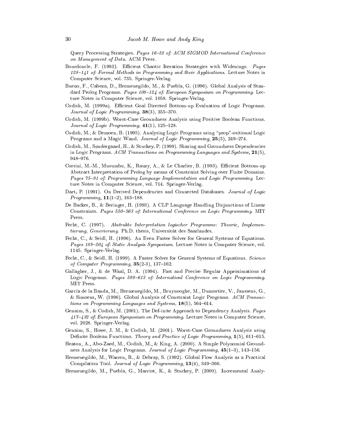Query Processing Strategies. Pages 16-52 of: ACM SIGMOD International Conference on Management of Data. ACM Press.

- Bourdoncle, F. (1993). Efficient Chaotic Iteration Strategies with Widenings. Pages 128-141 of: Formal Methods in Programming and their Applications. Lecture Notes in Computer Science, vol. 735. Springer-Verlag.
- Bueno, F., Cabeza, D., Hermenegildo, M., & Puebla, G. (1996). Global Analysis of Standard Prolog Programs. Pages 108-124 of: European Symposium on Programming. Lecture Notes in Computer Science, vol. 1058. Springer-Verlag.
- Codish, M. (1999a). Efficient Goal Directed Bottom-up Evaluation of Logic Programs. Journal of Logic Programming,  $38(3)$ ,  $355-370$ .
- Codish, M. (1999b). Worst-Case Groundness Analysis using Positive Boolean Functions. Journal of Logic Programming, 41(1), 125-128.
- Codish, M., & Demoen, B. (1995). Analysing Logic Programs using "prop"-ositional Logic Programs and a Magic Wand. Journal of Logic Programming, 25(3), 249–274.
- Codish, M., Søndergaard, H., & Stuckey, P. (1999). Sharing and Groundness Dependencies in Logic Programs. ACM Transactions on Programming Languages and Systems,  $21(5)$ , 948-976.
- Corsini, M.-M., Musumbu, K., Rauzy, A., & Le Charlier, B. (1993). Efficient Bottom-up Abstract Interpretation of Prolog by means of Constraint Solving over Finite Domains. Pages 75-91 of: Programming Language Implementation and Logic Programming. Lecture Notes in Computer Science, vol. 714. Springer-Verlag.
- Dart, P. (1991). On Derived Dependencies and Connected Databases. Journal of Logic *Programming*,  $11(1-2)$ , 163-188.
- De Backer, B., & Beringer, H. (1993). A CLP Language Handling Disjunctions of Linear Constraints. Pages 550-563 of: International Conference on Logic Programming. MIT Press
- Fecht, C. (1997). Abstrakte Interpretation logischer Programme: Theorie, Implementierung, Generierung. Ph.D. thesis, Universität des Saarlandes.
- Fecht, C., & Seidl, H. (1996). An Even Faster Solver for General Systems of Equations. Pages 189-204 of: Static Analysis Symposium. Lecture Notes in Computer Science, vol. 1145. Springer-Verlag.
- Fecht, C., & Seidl, H. (1999). A Faster Solver for General Systems of Equations. Science of Computer Programming,  $35(2-3)$ , 137-162.
- Gallagher, J., & de Waal, D. A. (1994). Fast and Precise Regular Approximations of Logic Programs. Pages 599-613 of: Internationl Conference on Logic Programming. MIT Press.
- García de la Banda, M., Hermenegildo, M., Bruynooghe, M., Dumortier, V., Janssens, G., & Simoens, W. (1996). Global Analysis of Constraint Logic Programs. ACM Transactions on Programming Languages and Systems,  $18(5)$ , 564-614.
- Genaim, S., & Codish, M. (2001). The Def-inite Approach to Dependency Analysis. Pages 417-432 of: European Symposium on Programming. Lecture Notes in Computer Science, vol. 2028. Springer-Verlag.
- Genaim, S., Howe, J. M., & Codish, M. (2001). Worst-Case Groundness Analysis using Definite Boolean Functions. Theory and Practice of Logic Programming, 1(5), 611-615.
- Heaton, A., Abo-Zaed, M., Codish, M., & King, A. (2000). A Simple Polynomial Groundness Analysis for Logic Programs. Journal of Logic Programming,  $45(1-3)$ , 143-156.
- Hermenegildo, M., Warren, R., & Debray, S. (1992). Global Flow Analysis as a Practical Compilation Tool. Journal of Logic Programming, 13(4), 349–366.
- Hermenegildo, M., Puebla, G., Marriot, K., & Stuckey, P. (2000). Incremental Analy-